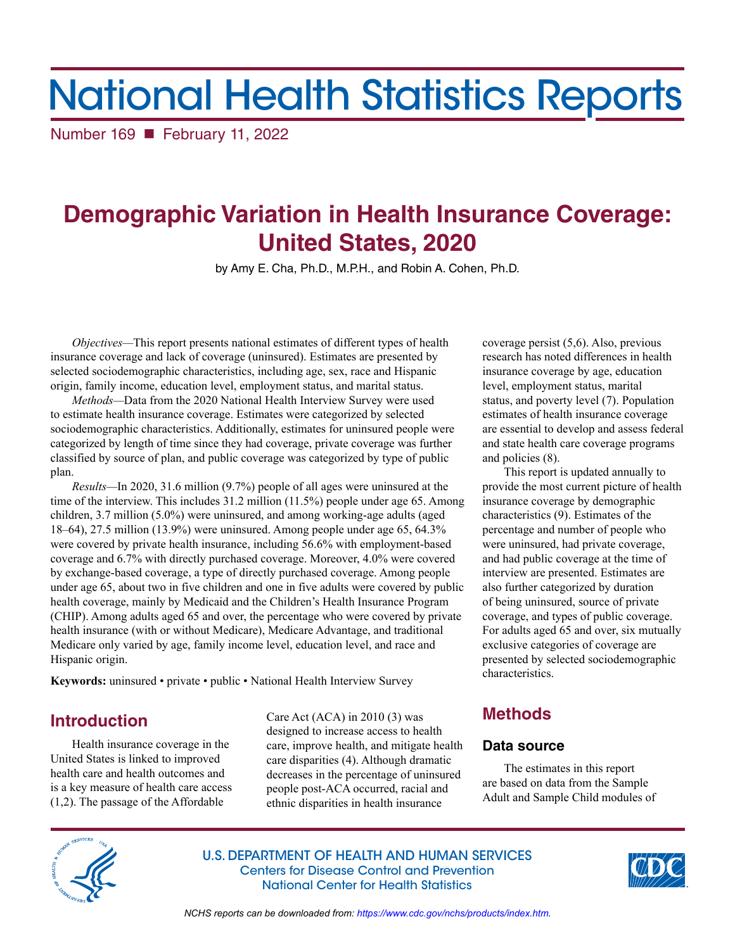# National Health Statistics Reports

Number 169 February 11, 2022

# **Demographic Variation in Health Insurance Coverage: United States, 2020**

by Amy E. Cha, Ph.D., M.P.H., and Robin A. Cohen, Ph.D.

*Objectives—*This report presents national estimates of different types of health insurance coverage and lack of coverage (uninsured). Estimates are presented by selected sociodemographic characteristics, including age, sex, race and Hispanic origin, family income, education level, employment status, and marital status.

*Methods—*Data from the 2020 National Health Interview Survey were used to estimate health insurance coverage. Estimates were categorized by selected sociodemographic characteristics. Additionally, estimates for uninsured people were categorized by length of time since they had coverage, private coverage was further classified by source of plan, and public coverage was categorized by type of public plan.

*Results—*In 2020, 31.6 million (9.7%) people of all ages were uninsured at the time of the interview. This includes 31.2 million (11.5%) people under age 65. Among children, 3.7 million (5.0%) were uninsured, and among working-age adults (aged 18–64), 27.5 million (13.9%) were uninsured. Among people under age 65, 64.3% were covered by private health insurance, including 56.6% with employment-based coverage and 6.7% with directly purchased coverage. Moreover, 4.0% were covered by exchange-based coverage, a type of directly purchased coverage. Among people under age 65, about two in five children and one in five adults were covered by public health coverage, mainly by Medicaid and the Children's Health Insurance Program (CHIP). Among adults aged 65 and over, the percentage who were covered by private health insurance (with or without Medicare), Medicare Advantage, and traditional Medicare only varied by age, family income level, education level, and race and Hispanic origin.

**Keywords:** uninsured • private • public • National Health Interview Survey

# **Introduction**

Health insurance coverage in the United States is linked to improved health care and health outcomes and is a key measure of health care access (1,2). The passage of the Affordable

Care Act (ACA) in 2010 (3) was designed to increase access to health care, improve health, and mitigate health care disparities (4). Although dramatic decreases in the percentage of uninsured people post-ACA occurred, racial and ethnic disparities in health insurance

coverage persist (5,6). Also, previous research has noted differences in health insurance coverage by age, education level, employment status, marital status, and poverty level (7). Population estimates of health insurance coverage are essential to develop and assess federal and state health care coverage programs and policies (8).

This report is updated annually to provide the most current picture of health insurance coverage by demographic characteristics (9). Estimates of the percentage and number of people who were uninsured, had private coverage, and had public coverage at the time of interview are presented. Estimates are also further categorized by duration of being uninsured, source of private coverage, and types of public coverage. For adults aged 65 and over, six mutually exclusive categories of coverage are presented by selected sociodemographic characteristics.

# **Methods**

# **Data source**

The estimates in this report are based on data from the Sample Adult and Sample Child modules of



U.S. DEPARTMENT OF HEALTH AND HUMAN SERVICES Centers for Disease Control and Prevention National Center for Health Statistics



*NCHS reports can be downloaded from:<https://www.cdc.gov/nchs/products/index.htm>.*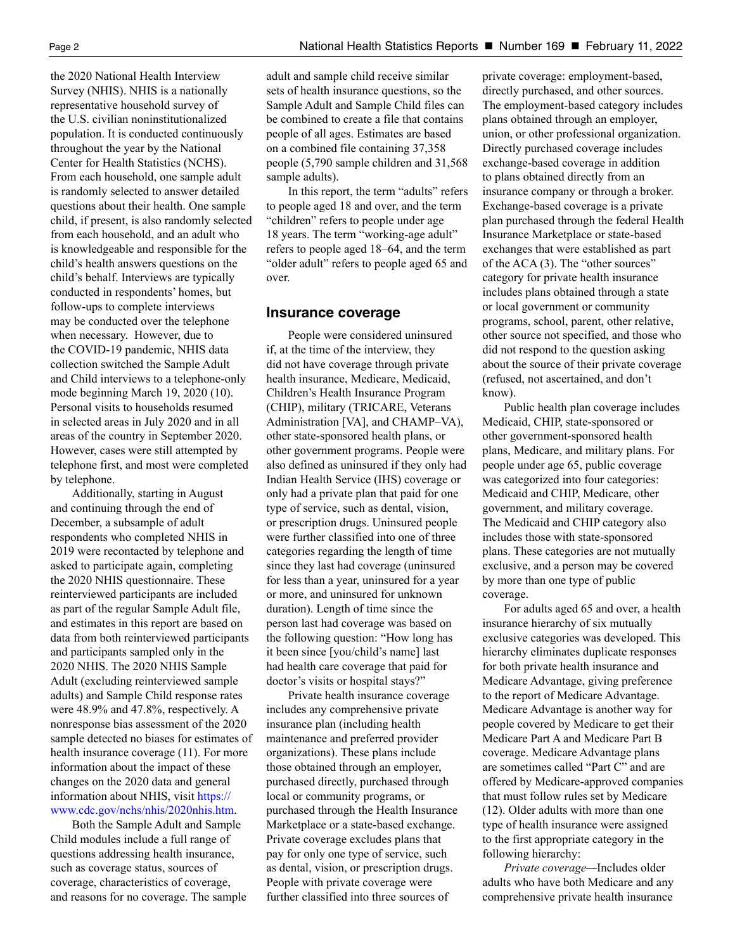the 2020 National Health Interview Survey (NHIS). NHIS is a nationally representative household survey of the U.S. civilian noninstitutionalized population. It is conducted continuously throughout the year by the National Center for Health Statistics (NCHS). From each household, one sample adult is randomly selected to answer detailed questions about their health. One sample child, if present, is also randomly selected from each household, and an adult who is knowledgeable and responsible for the child's health answers questions on the child's behalf. Interviews are typically conducted in respondents' homes, but follow-ups to complete interviews may be conducted over the telephone when necessary. However, due to the COVID-19 pandemic, NHIS data collection switched the Sample Adult and Child interviews to a telephone-only mode beginning March 19, 2020 (10). Personal visits to households resumed in selected areas in July 2020 and in all areas of the country in September 2020. However, cases were still attempted by telephone first, and most were completed by telephone.

Additionally, starting in August and continuing through the end of December, a subsample of adult respondents who completed NHIS in 2019 were recontacted by telephone and asked to participate again, completing the 2020 NHIS questionnaire. These reinterviewed participants are included as part of the regular Sample Adult file, and estimates in this report are based on data from both reinterviewed participants and participants sampled only in the 2020 NHIS. The 2020 NHIS Sample Adult (excluding reinterviewed sample adults) and Sample Child response rates were 48.9% and 47.8%, respectively. A nonresponse bias assessment of the 2020 sample detected no biases for estimates of health insurance coverage (11). For more information about the impact of these changes on the 2020 data and general information about NHIS, visit [https://](https://www.cdc.gov/nchs/nhis/2020nhis.htm) [www.cdc.gov/nchs/nhis/2020nhis.htm.](https://www.cdc.gov/nchs/nhis/2020nhis.htm)

Both the Sample Adult and Sample Child modules include a full range of questions addressing health insurance, such as coverage status, sources of coverage, characteristics of coverage, and reasons for no coverage. The sample

people of all ages. Estimates are based on a combined file containing 37,358 people (5,790 sample children and 31,568 sample adults).

In this report, the term "adults" refers to people aged 18 and over, and the term "children" refers to people under age 18 years. The term "working-age adult" refers to people aged 18–64, and the term "older adult" refers to people aged 65 and over.

# **Insurance coverage**

People were considered uninsured if, at the time of the interview, they did not have coverage through private health insurance, Medicare, Medicaid, Children's Health Insurance Program (CHIP), military (TRICARE, Veterans Administration [VA], and CHAMP–VA), other state-sponsored health plans, or other government programs. People were also defined as uninsured if they only had Indian Health Service (IHS) coverage or only had a private plan that paid for one type of service, such as dental, vision, or prescription drugs. Uninsured people were further classified into one of three categories regarding the length of time since they last had coverage (uninsured for less than a year, uninsured for a year or more, and uninsured for unknown duration). Length of time since the person last had coverage was based on the following question: "How long has it been since [you/child's name] last had health care coverage that paid for doctor's visits or hospital stays?"

Private health insurance coverage includes any comprehensive private insurance plan (including health maintenance and preferred provider organizations). These plans include those obtained through an employer, purchased directly, purchased through local or community programs, or purchased through the Health Insurance Marketplace or a state-based exchange. Private coverage excludes plans that pay for only one type of service, such as dental, vision, or prescription drugs. People with private coverage were further classified into three sources of

private coverage: employment-based, directly purchased, and other sources. The employment-based category includes plans obtained through an employer, union, or other professional organization. Directly purchased coverage includes exchange-based coverage in addition to plans obtained directly from an insurance company or through a broker. Exchange-based coverage is a private plan purchased through the federal Health Insurance Marketplace or state-based exchanges that were established as part of the ACA (3). The "other sources" category for private health insurance includes plans obtained through a state or local government or community programs, school, parent, other relative, other source not specified, and those who did not respond to the question asking about the source of their private coverage (refused, not ascertained, and don't know).

Public health plan coverage includes Medicaid, CHIP, state-sponsored or other government-sponsored health plans, Medicare, and military plans. For people under age 65, public coverage was categorized into four categories: Medicaid and CHIP, Medicare, other government, and military coverage. The Medicaid and CHIP category also includes those with state-sponsored plans. These categories are not mutually exclusive, and a person may be covered by more than one type of public coverage.

For adults aged 65 and over, a health insurance hierarchy of six mutually exclusive categories was developed. This hierarchy eliminates duplicate responses for both private health insurance and Medicare Advantage, giving preference to the report of Medicare Advantage. Medicare Advantage is another way for people covered by Medicare to get their Medicare Part A and Medicare Part B coverage. Medicare Advantage plans are sometimes called "Part C" and are offered by Medicare-approved companies that must follow rules set by Medicare (12). Older adults with more than one type of health insurance were assigned to the first appropriate category in the following hierarchy:

*Private coverage—*Includes older adults who have both Medicare and any comprehensive private health insurance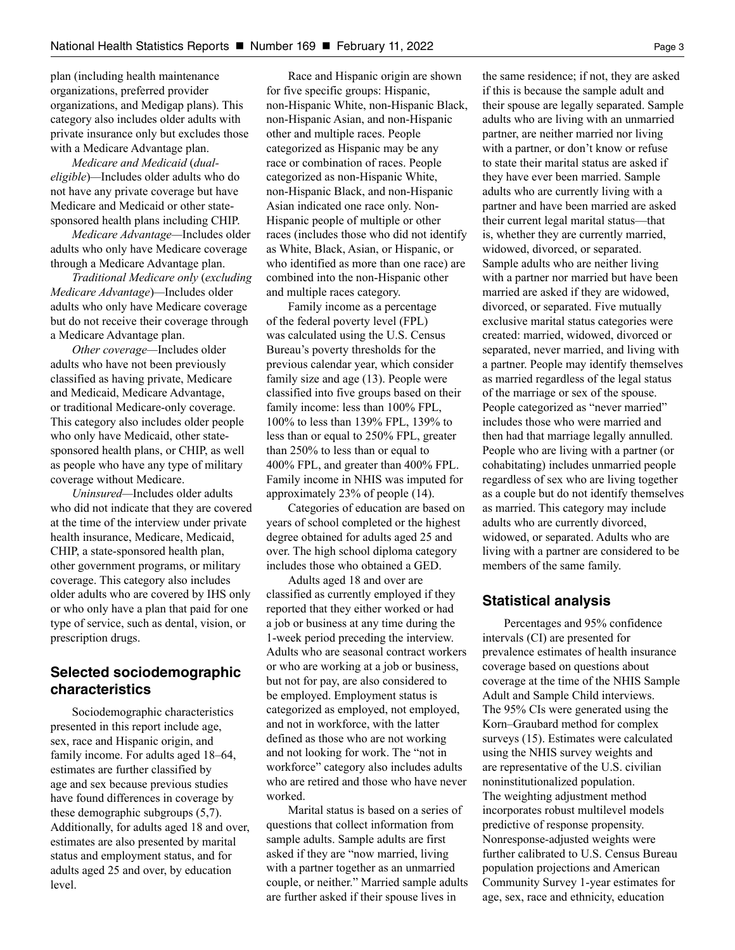plan (including health maintenance organizations, preferred provider organizations, and Medigap plans). This category also includes older adults with private insurance only but excludes those with a Medicare Advantage plan.

*Medicare and Medicaid* (*dualeligible*)*—*Includes older adults who do not have any private coverage but have Medicare and Medicaid or other statesponsored health plans including CHIP.

*Medicare Advantage—*Includes older adults who only have Medicare coverage through a Medicare Advantage plan.

*Traditional Medicare only* (*excluding Medicare Advantage*)*—*Includes older adults who only have Medicare coverage but do not receive their coverage through a Medicare Advantage plan.

*Other coverage—*Includes older adults who have not been previously classified as having private, Medicare and Medicaid, Medicare Advantage, or traditional Medicare-only coverage. This category also includes older people who only have Medicaid, other statesponsored health plans, or CHIP, as well as people who have any type of military coverage without Medicare.

*Uninsured—*Includes older adults who did not indicate that they are covered at the time of the interview under private health insurance, Medicare, Medicaid, CHIP, a state-sponsored health plan, other government programs, or military coverage. This category also includes older adults who are covered by IHS only or who only have a plan that paid for one type of service, such as dental, vision, or prescription drugs.

# **Selected sociodemographic characteristics**

Sociodemographic characteristics presented in this report include age, sex, race and Hispanic origin, and family income. For adults aged 18–64, estimates are further classified by age and sex because previous studies have found differences in coverage by these demographic subgroups (5,7). Additionally, for adults aged 18 and over, estimates are also presented by marital status and employment status, and for adults aged 25 and over, by education level.

Race and Hispanic origin are shown for five specific groups: Hispanic, non-Hispanic White, non-Hispanic Black, non-Hispanic Asian, and non-Hispanic other and multiple races. People categorized as Hispanic may be any race or combination of races. People categorized as non-Hispanic White, non-Hispanic Black, and non-Hispanic Asian indicated one race only. Non-Hispanic people of multiple or other races (includes those who did not identify as White, Black, Asian, or Hispanic, or who identified as more than one race) are combined into the non-Hispanic other and multiple races category.

Family income as a percentage of the federal poverty level (FPL) was calculated using the U.S. Census Bureau's poverty thresholds for the previous calendar year, which consider family size and age (13). People were classified into five groups based on their family income: less than 100% FPL, 100% to less than 139% FPL, 139% to less than or equal to 250% FPL, greater than 250% to less than or equal to 400% FPL, and greater than 400% FPL. Family income in NHIS was imputed for approximately 23% of people (14).

Categories of education are based on years of school completed or the highest degree obtained for adults aged 25 and over. The high school diploma category includes those who obtained a GED.

Adults aged 18 and over are classified as currently employed if they reported that they either worked or had a job or business at any time during the 1-week period preceding the interview. Adults who are seasonal contract workers or who are working at a job or business, but not for pay, are also considered to be employed. Employment status is categorized as employed, not employed, and not in workforce, with the latter defined as those who are not working and not looking for work. The "not in workforce" category also includes adults who are retired and those who have never worked.

Marital status is based on a series of questions that collect information from sample adults. Sample adults are first asked if they are "now married, living with a partner together as an unmarried couple, or neither." Married sample adults are further asked if their spouse lives in

the same residence; if not, they are asked if this is because the sample adult and their spouse are legally separated. Sample adults who are living with an unmarried partner, are neither married nor living with a partner, or don't know or refuse to state their marital status are asked if they have ever been married. Sample adults who are currently living with a partner and have been married are asked their current legal marital status—that is, whether they are currently married, widowed, divorced, or separated. Sample adults who are neither living with a partner nor married but have been married are asked if they are widowed, divorced, or separated. Five mutually exclusive marital status categories were created: married, widowed, divorced or separated, never married, and living with a partner. People may identify themselves as married regardless of the legal status of the marriage or sex of the spouse. People categorized as "never married" includes those who were married and then had that marriage legally annulled. People who are living with a partner (or cohabitating) includes unmarried people regardless of sex who are living together as a couple but do not identify themselves as married. This category may include adults who are currently divorced, widowed, or separated. Adults who are living with a partner are considered to be members of the same family.

# **Statistical analysis**

Percentages and 95% confidence intervals (CI) are presented for prevalence estimates of health insurance coverage based on questions about coverage at the time of the NHIS Sample Adult and Sample Child interviews. The 95% CIs were generated using the Korn–Graubard method for complex surveys (15). Estimates were calculated using the NHIS survey weights and are representative of the U.S. civilian noninstitutionalized population. The weighting adjustment method incorporates robust multilevel models predictive of response propensity. Nonresponse-adjusted weights were further calibrated to U.S. Census Bureau population projections and American Community Survey 1-year estimates for age, sex, race and ethnicity, education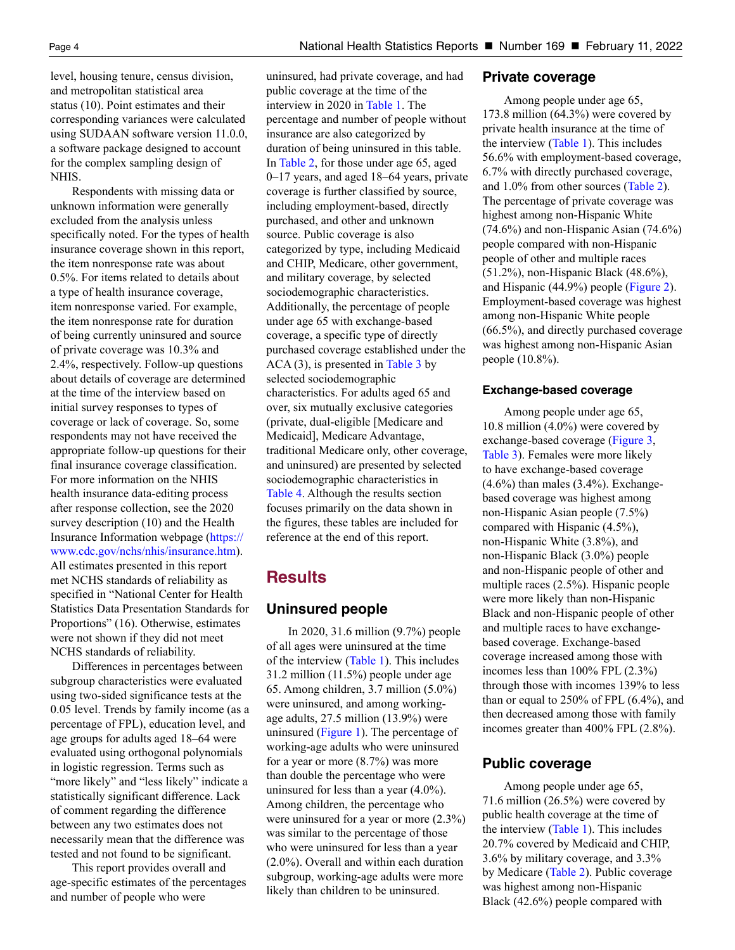level, housing tenure, census division, and metropolitan statistical area status (10). Point estimates and their corresponding variances were calculated using SUDAAN software version 11.0.0, a software package designed to account for the complex sampling design of NHIS.

Respondents with missing data or unknown information were generally excluded from the analysis unless specifically noted. For the types of health insurance coverage shown in this report, the item nonresponse rate was about 0.5%. For items related to details about a type of health insurance coverage, item nonresponse varied. For example, the item nonresponse rate for duration of being currently uninsured and source of private coverage was 10.3% and 2.4%, respectively. Follow-up questions about details of coverage are determined at the time of the interview based on initial survey responses to types of coverage or lack of coverage. So, some respondents may not have received the appropriate follow-up questions for their final insurance coverage classification. For more information on the NHIS health insurance data-editing process after response collection, see the 2020 survey description (10) and the Health Insurance Information webpage [\(https://](https://www.cdc.gov/nchs/nhis/insurance.htm) [www.cdc.gov/nchs/nhis/insurance.htm\)](https://www.cdc.gov/nchs/nhis/insurance.htm). All estimates presented in this report met NCHS standards of reliability as specified in "National Center for Health Statistics Data Presentation Standards for Proportions" (16). Otherwise, estimates were not shown if they did not meet NCHS standards of reliability.

Differences in percentages between subgroup characteristics were evaluated using two-sided significance tests at the 0.05 level. Trends by family income (as a percentage of FPL), education level, and age groups for adults aged 18–64 were evaluated using orthogonal polynomials in logistic regression. Terms such as "more likely" and "less likely" indicate a statistically significant difference. Lack of comment regarding the difference between any two estimates does not necessarily mean that the difference was tested and not found to be significant.

This report provides overall and age-specific estimates of the percentages and number of people who were

uninsured, had private coverage, and had public coverage at the time of the interview in 2020 in [Table 1.](#page-8-0) The percentage and number of people without insurance are also categorized by duration of being uninsured in this table. In [Table 2,](#page-9-0) for those under age 65, aged 0–17 years, and aged 18–64 years, private coverage is further classified by source, including employment-based, directly purchased, and other and unknown source. Public coverage is also categorized by type, including Medicaid and CHIP, Medicare, other government, and military coverage, by selected sociodemographic characteristics. Additionally, the percentage of people under age 65 with exchange-based coverage, a specific type of directly purchased coverage established under the  $ACA(3)$ , is presented i[n Table 3](#page-12-0) by selected sociodemographic characteristics. For adults aged 65 and over, six mutually exclusive categories (private, dual-eligible [Medicare and Medicaid], Medicare Advantage, traditional Medicare only, other coverage, and uninsured) are presented by selected sociodemographic characteristics in [Table 4.](#page-13-0) Although the results section focuses primarily on the data shown in the figures, these tables are included for reference at the end of this report.

# **Results**

# **Uninsured people**

In 2020, 31.6 million (9.7%) people of all ages were uninsured at the time of the interview [\(Table 1\)](#page-8-0). This includes 31.2 million (11.5%) people under age 65. Among children, 3.7 million (5.0%) were uninsured, and among workingage adults, 27.5 million (13.9%) were uninsured ([Figure 1\)](#page-4-0). The percentage of working-age adults who were uninsured for a year or more (8.7%) was more than double the percentage who were uninsured for less than a year (4.0%). Among children, the percentage who were uninsured for a year or more (2.3%) was similar to the percentage of those who were uninsured for less than a year (2.0%). Overall and within each duration subgroup, working-age adults were more likely than children to be uninsured.

# **Private coverage**

Among people under age 65, 173.8 million (64.3%) were covered by private health insurance at the time of the interview [\(Table 1\)](#page-8-0). This includes 56.6% with employment-based coverage, 6.7% with directly purchased coverage, and 1.0% from other sources [\(Table 2\)](#page-9-0). The percentage of private coverage was highest among non-Hispanic White (74.6%) and non-Hispanic Asian (74.6%) people compared with non-Hispanic people of other and multiple races (51.2%), non-Hispanic Black (48.6%), and Hispanic (44.9%) people [\(Figure 2\).](#page-4-0) Employment-based coverage was highest among non-Hispanic White people (66.5%), and directly purchased coverage was highest among non-Hispanic Asian people (10.8%).

# **Exchange-based coverage**

Among people under age 65, 10.8 million (4.0%) were covered by exchange-based coverage [\(Figure 3,](#page-5-0)  [Table 3\)](#page-12-0). Females were more likely to have exchange-based coverage  $(4.6\%)$  than males  $(3.4\%)$ . Exchangebased coverage was highest among non-Hispanic Asian people (7.5%) compared with Hispanic (4.5%), non-Hispanic White (3.8%), and non-Hispanic Black (3.0%) people and non-Hispanic people of other and multiple races (2.5%). Hispanic people were more likely than non-Hispanic Black and non-Hispanic people of other and multiple races to have exchangebased coverage. Exchange-based coverage increased among those with incomes less than 100% FPL (2.3%) through those with incomes 139% to less than or equal to 250% of FPL (6.4%), and then decreased among those with family incomes greater than 400% FPL (2.8%).

# **Public coverage**

Among people under age 65, 71.6 million (26.5%) were covered by public health coverage at the time of the interview [\(Table 1\)](#page-8-0). This includes 20.7% covered by Medicaid and CHIP, 3.6% by military coverage, and 3.3% by Medicare [\(Table 2\)](#page-9-0). Public coverage was highest among non-Hispanic Black (42.6%) people compared with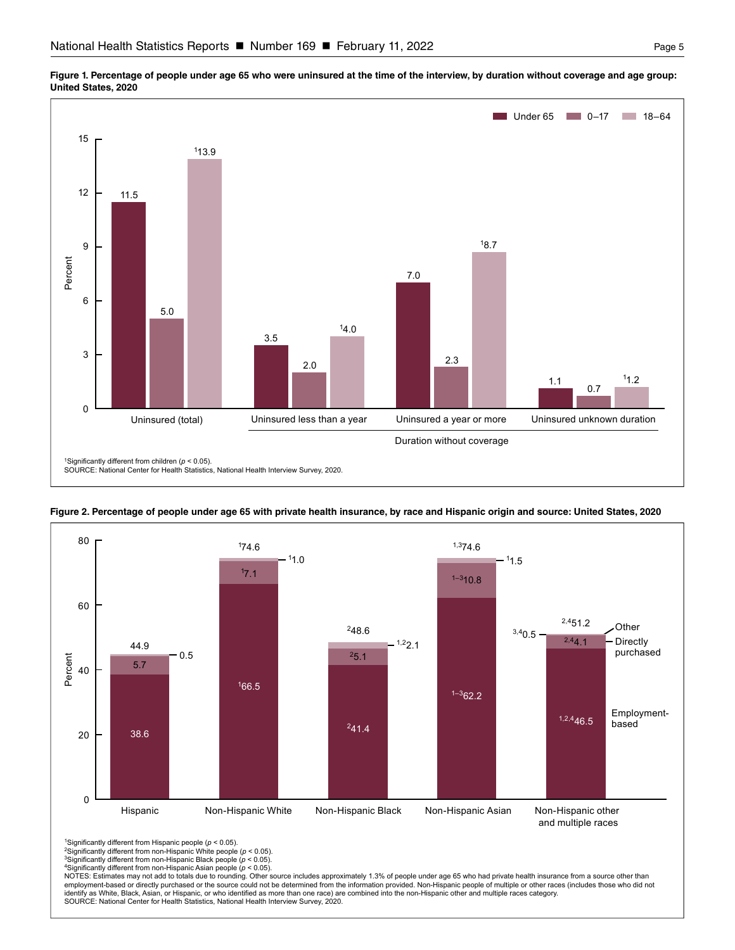

<span id="page-4-0"></span>





<sup>1</sup>Significantly different from Hispanic people ( $p < 0.05$ ).

2Significantly different from non-Hispanic White people (*p* < 0.05). 3Significantly different from non-Hispanic Black people (*p* < 0.05).

4Significantly different from non-Hispanic Asian people (*p* < 0.05).

NOTES: Estimates may not add to totals due to rounding. Other source includes approximately 1.3% of people under age 65 who had private health insurance from a source other than<br>employment-based or directly purchased or th identify as White, Black, Asian, or Hispanic, or who identified as more than one race) are combined into the non-Hispanic other and multiple races category. SOURCE: National Center for Health Statistics, National Health Interview Survey, 2020.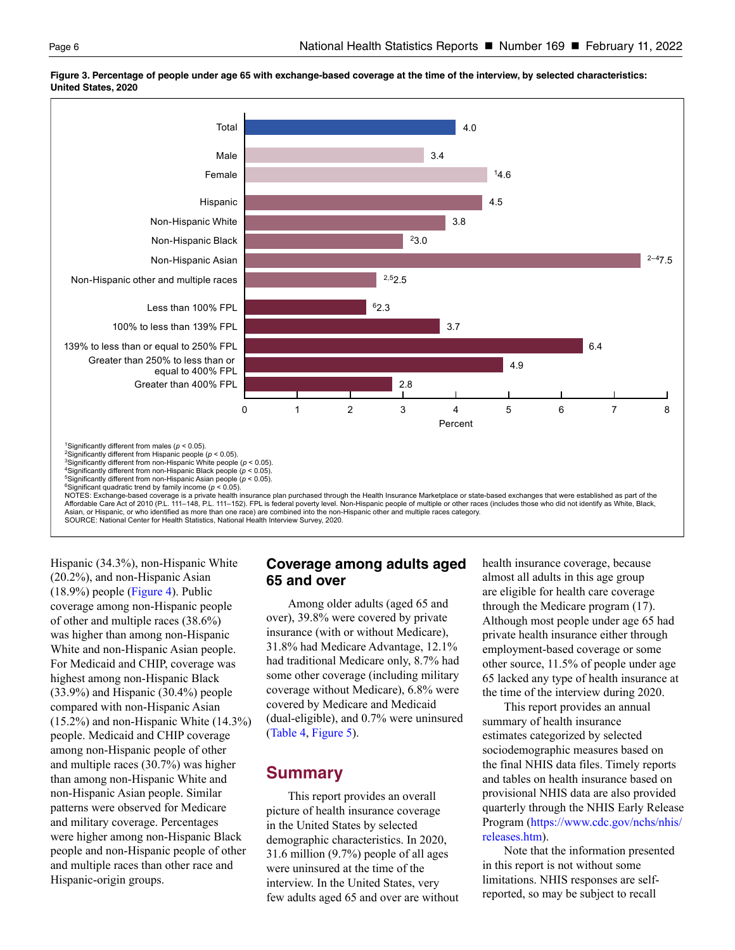

<span id="page-5-0"></span>**Figure 3. Percentage of people under age 65 with exchange-based coverage at the time of the interview, by selected characteristics: United States, 2020**

Hispanic (34.3%), non-Hispanic White (20.2%), and non-Hispanic Asian (18.9%) people [\(Figure 4](#page-6-0)). Public coverage among non-Hispanic people of other and multiple races (38.6%) was higher than among non-Hispanic White and non-Hispanic Asian people. For Medicaid and CHIP, coverage was highest among non-Hispanic Black (33.9%) and Hispanic (30.4%) people compared with non-Hispanic Asian (15.2%) and non-Hispanic White (14.3%) people. Medicaid and CHIP coverage among non-Hispanic people of other and multiple races (30.7%) was higher than among non-Hispanic White and non-Hispanic Asian people. Similar patterns were observed for Medicare and military coverage. Percentages were higher among non-Hispanic Black people and non-Hispanic people of other and multiple races than other race and Hispanic-origin groups.

# **Coverage among adults aged 65 and over**

Among older adults (aged 65 and over), 39.8% were covered by private insurance (with or without Medicare), 31.8% had Medicare Advantage, 12.1% had traditional Medicare only, 8.7% had some other coverage (including military coverage without Medicare), 6.8% were covered by Medicare and Medicaid (dual-eligible), and 0.7% were uninsured [\(Table 4,](#page-13-0) [Figure 5\)](#page-6-0).

# **Summary**

This report provides an overall picture of health insurance coverage in the United States by selected demographic characteristics. In 2020, 31.6 million (9.7%) people of all ages were uninsured at the time of the interview. In the United States, very few adults aged 65 and over are without health insurance coverage, because almost all adults in this age group are eligible for health care coverage through the Medicare program (17). Although most people under age 65 had private health insurance either through employment-based coverage or some other source, 11.5% of people under age 65 lacked any type of health insurance at the time of the interview during 2020.

This report provides an annual summary of health insurance estimates categorized by selected sociodemographic measures based on the final NHIS data files. Timely reports and tables on health insurance based on provisional NHIS data are also provided quarterly through the NHIS Early Release Program [\(https://www.cdc.gov/nchs/nhis/](https://www.cdc.gov/nchs/nhis/releases.htm) [releases.htm\)](https://www.cdc.gov/nchs/nhis/releases.htm).

Note that the information presented in this report is not without some limitations. NHIS responses are selfreported, so may be subject to recall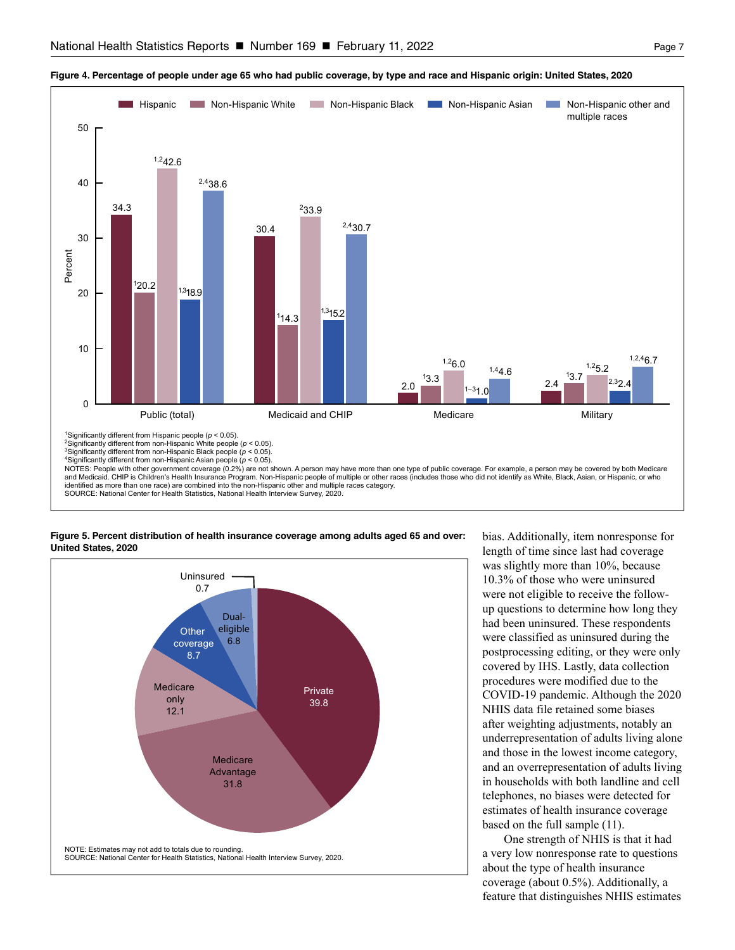

#### <span id="page-6-0"></span>**Figure 4. Percentage of people under age 65 who had public coverage, by type and race and Hispanic origin: United States, 2020**

**Figure 5. Percent distribution of health insurance coverage among adults aged 65 and over: United States, 2020**



bias. Additionally, item nonresponse for length of time since last had coverage was slightly more than 10%, because 10.3% of those who were uninsured were not eligible to receive the followup questions to determine how long they had been uninsured. These respondents were classified as uninsured during the postprocessing editing, or they were only covered by IHS. Lastly, data collection procedures were modified due to the COVID-19 pandemic. Although the 2020 NHIS data file retained some biases after weighting adjustments, notably an underrepresentation of adults living alone and those in the lowest income category, and an overrepresentation of adults living in households with both landline and cell telephones, no biases were detected for estimates of health insurance coverage based on the full sample (11).

One strength of NHIS is that it had a very low nonresponse rate to questions about the type of health insurance coverage (about 0.5%). Additionally, a feature that distinguishes NHIS estimates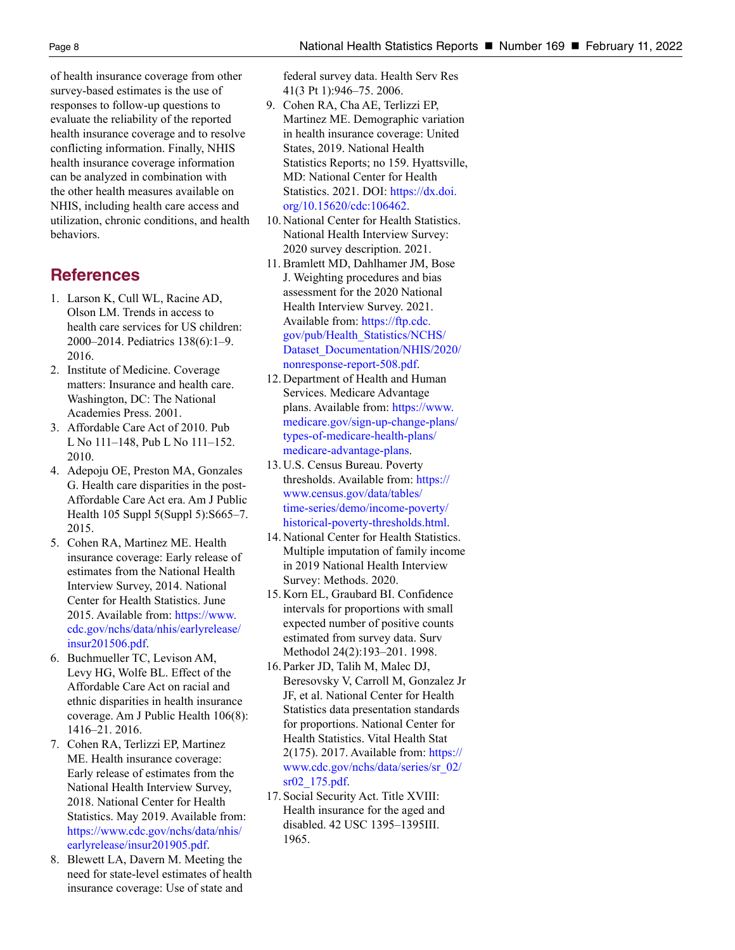of health insurance coverage from other survey-based estimates is the use of responses to follow-up questions to evaluate the reliability of the reported health insurance coverage and to resolve conflicting information. Finally, NHIS health insurance coverage information can be analyzed in combination with the other health measures available on NHIS, including health care access and utilization, chronic conditions, and health behaviors.

# **References**

- 1. Larson K, Cull WL, Racine AD, Olson LM. Trends in access to health care services for US children: 2000–2014. Pediatrics 138(6):1–9. 2016.
- 2. Institute of Medicine. Coverage matters: Insurance and health care. Washington, DC: The National Academies Press. 2001.
- 3. Affordable Care Act of 2010. Pub L No 111–148, Pub L No 111–152. 2010.
- 4. Adepoju OE, Preston MA, Gonzales G. Health care disparities in the post-Affordable Care Act era. Am J Public Health 105 Suppl 5(Suppl 5):S665–7. 2015.
- 5. Cohen RA, Martinez ME. Health insurance coverage: Early release of estimates from the National Health Interview Survey, 2014. National Center for Health Statistics. June 2015. Available from: [https://www.](https://www.cdc.gov/nchs/data/nhis/earlyrelease/insur201506.pdf) [cdc.gov/nchs/data/nhis/earlyrelease/](https://www.cdc.gov/nchs/data/nhis/earlyrelease/insur201506.pdf) [insur201506.pdf.](https://www.cdc.gov/nchs/data/nhis/earlyrelease/insur201506.pdf)
- 6. Buchmueller TC, Levison AM, Levy HG, Wolfe BL. Effect of the Affordable Care Act on racial and ethnic disparities in health insurance coverage. Am J Public Health 106(8): 1416–21. 2016.
- 7. Cohen RA, Terlizzi EP, Martinez ME. Health insurance coverage: Early release of estimates from the National Health Interview Survey, 2018. National Center for Health Statistics. May 2019. Available from: [https://www.cdc.gov/nchs/data/nhis/](https://www.cdc.gov/nchs/data/nhis/earlyrelease/insur201905.pdf) [earlyrelease/insur201905.pdf](https://www.cdc.gov/nchs/data/nhis/earlyrelease/insur201905.pdf).
- 8. Blewett LA, Davern M. Meeting the need for state-level estimates of health insurance coverage: Use of state and

federal survey data. Health Serv Res 41(3 Pt 1):946–75. 2006.

- 9. Cohen RA, Cha AE, Terlizzi EP, Martinez ME. Demographic variation in health insurance coverage: United States, 2019. National Health Statistics Reports; no 159. Hyattsville, MD: National Center for Health Statistics. 2021. DOI: [https://dx.doi.](https://dx.doi.org/10.15620/cdc:106462) [org/10.15620/cdc:106462.](https://dx.doi.org/10.15620/cdc:106462)
- 10. National Center for Health Statistics. National Health Interview Survey: 2020 survey description. 2021.
- 11. Bramlett MD, Dahlhamer JM, Bose J. Weighting procedures and bias assessment for the 2020 National Health Interview Survey. 2021. Available from: [https://ftp.cdc.](https://ftp.cdc.gov/pub/Health_Statistics/NCHS/Dataset_Documentation/NHIS/2020/nonresponse-report-508.pdf) [gov/pub/Health\\_Statistics/NCHS/](https://ftp.cdc.gov/pub/Health_Statistics/NCHS/Dataset_Documentation/NHIS/2020/nonresponse-report-508.pdf) [Dataset\\_Documentation/NHIS/2020/](https://ftp.cdc.gov/pub/Health_Statistics/NCHS/Dataset_Documentation/NHIS/2020/nonresponse-report-508.pdf) [nonresponse-report-508.pdf](https://ftp.cdc.gov/pub/Health_Statistics/NCHS/Dataset_Documentation/NHIS/2020/nonresponse-report-508.pdf).
- 12. Department of Health and Human Services. Medicare Advantage plans. Available from: [https://www.](https://www.medicare.gov/sign-up-change-plans/types-of-medicare-health-plans/medicare-advantage-plans) [medicare.gov/sign-up-change-plans/](https://www.medicare.gov/sign-up-change-plans/types-of-medicare-health-plans/medicare-advantage-plans) [types-of-medicare-health-plans/](https://www.medicare.gov/sign-up-change-plans/types-of-medicare-health-plans/medicare-advantage-plans) [medicare-advantage-plans.](https://www.medicare.gov/sign-up-change-plans/types-of-medicare-health-plans/medicare-advantage-plans)
- 13. U.S. Census Bureau. Poverty thresholds. Available from: [https://](https://www.census.gov/data/tables/time-series/demo/income-poverty/historical-poverty-thresholds.html) [www.census.gov/data/tables/](https://www.census.gov/data/tables/time-series/demo/income-poverty/historical-poverty-thresholds.html) [time-series/demo/income-poverty/](https://www.census.gov/data/tables/time-series/demo/income-poverty/historical-poverty-thresholds.html) [historical-poverty-thresholds.html](https://www.census.gov/data/tables/time-series/demo/income-poverty/historical-poverty-thresholds.html).
- 14. National Center for Health Statistics. Multiple imputation of family income in 2019 National Health Interview Survey: Methods. 2020.
- 15. Korn EL, Graubard BI. Confidence intervals for proportions with small expected number of positive counts estimated from survey data. Surv Methodol 24(2):193–201. 1998.
- 16. Parker JD, Talih M, Malec DJ, Beresovsky V, Carroll M, Gonzalez Jr JF, et al. National Center for Health Statistics data presentation standards for proportions. National Center for Health Statistics. Vital Health Stat 2(175). 2017. Available from: [https://](https://www.cdc.gov/nchs/data/series/sr_02/sr02_175.pdf) [www.cdc.gov/nchs/data/series/sr\\_02/](https://www.cdc.gov/nchs/data/series/sr_02/sr02_175.pdf) [sr02\\_175.pdf](https://www.cdc.gov/nchs/data/series/sr_02/sr02_175.pdf).
- 17. Social Security Act. Title XVIII: Health insurance for the aged and disabled. 42 USC 1395–1395III. 1965.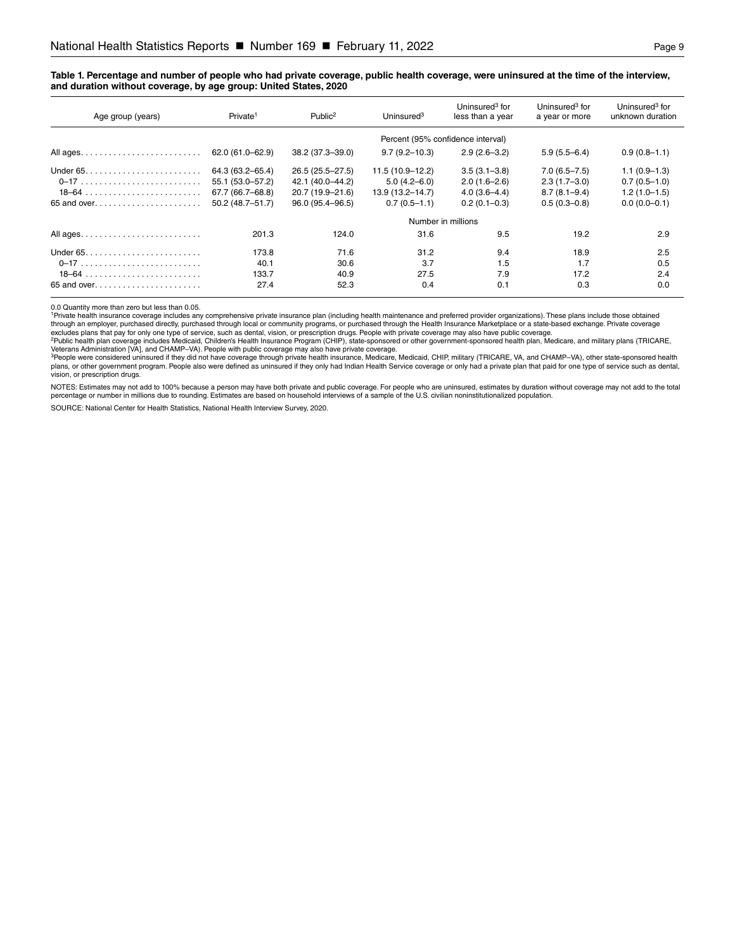#### <span id="page-8-0"></span>**Table 1. Percentage and number of people who had private coverage, public health coverage, were uninsured at the time of the interview, and duration without coverage, by age group: United States, 2020**

| Age group (years)                                                   | Private <sup>1</sup>              | Public <sup>2</sup> | Uninsured $3$       | Uninsured <sup>3</sup> for<br>less than a year | Uninsured <sup>3</sup> for<br>a year or more | Uninsured <sup>3</sup> for<br>unknown duration |  |  |  |  |
|---------------------------------------------------------------------|-----------------------------------|---------------------|---------------------|------------------------------------------------|----------------------------------------------|------------------------------------------------|--|--|--|--|
|                                                                     | Percent (95% confidence interval) |                     |                     |                                                |                                              |                                                |  |  |  |  |
|                                                                     | 62.0 (61.0-62.9)                  | 38.2 (37.3-39.0)    | $9.7(9.2 - 10.3)$   | $2.9(2.6 - 3.2)$                               | $5.9(5.5 - 6.4)$                             | $0.9(0.8-1.1)$                                 |  |  |  |  |
| Under $65. \ldots \ldots \ldots \ldots \ldots \ldots \ldots$        | 64.3 (63.2-65.4)                  | 26.5 (25.5-27.5)    | 11.5 (10.9-12.2)    | $3.5(3.1 - 3.8)$                               | $7.0(6.5 - 7.5)$                             | $1.1(0.9-1.3)$                                 |  |  |  |  |
|                                                                     | 55.1 (53.0-57.2)                  | 42.1 (40.0–44.2)    | $5.0(4.2 - 6.0)$    | $2.0(1.6-2.6)$                                 | $2.3(1.7-3.0)$                               | $0.7(0.5-1.0)$                                 |  |  |  |  |
|                                                                     | 67.7 (66.7-68.8)                  | 20.7 (19.9-21.6)    | $13.9(13.2 - 14.7)$ | $4.0(3.6-4.4)$                                 | $8.7(8.1 - 9.4)$                             | $1.2(1.0-1.5)$                                 |  |  |  |  |
| 65 and over                                                         | $50.2(48.7 - 51.7)$               | 96.0 (95.4-96.5)    | $0.7(0.5-1.1)$      | $0.2(0.1 - 0.3)$                               | $0.5(0.3 - 0.8)$                             | $0.0(0.0-0.1)$                                 |  |  |  |  |
|                                                                     | Number in millions                |                     |                     |                                                |                                              |                                                |  |  |  |  |
|                                                                     | 201.3                             | 124.0               | 31.6                | 9.5                                            | 19.2                                         | 2.9                                            |  |  |  |  |
|                                                                     | 173.8                             | 71.6                | 31.2                | 9.4                                            | 18.9                                         | 2.5                                            |  |  |  |  |
|                                                                     | 40.1                              | 30.6                | 3.7                 | 1.5                                            | 1.7                                          | 0.5                                            |  |  |  |  |
| $18-64$                                                             | 133.7                             | 40.9                | 27.5                | 7.9                                            | 17.2                                         | 2.4                                            |  |  |  |  |
| 65 and over. $\ldots$ . $\ldots$ . $\ldots$ . $\ldots$ . $\ldots$ . | 27.4                              | 52.3                | 0.4                 | 0.1                                            | 0.3                                          | 0.0                                            |  |  |  |  |

0.0 Quantity more than zero but less than 0.05.<br><sup>1</sup>Private health insurance coverage includes any comprehensive private insurance plan (including health maintenance and preferred provider organizations). These plans includ

through an employer, purchased directly, purchased through local or community programs, or purchased through the Health Insurance Marketplace or a state-based exchange. Private coverage<br>excludes plans that pay for only one

Veterans Administration [VA], and CHAMP–VA). People with public coverage may also have private coverage.<br><sup>3</sup>People were considered uninsured if they did not have coverage through private health insurance, Medicare, Medicai plans, or other government program. People also were defined as uninsured if they only had Indian Health Service coverage or only had a private plan that paid for one type of service such as dental,<br>vision, or prescription

NOTES: Estimates may not add to 100% because a person may have both private and public coverage. For people who are uninsured, estimates by duration without coverage may not add to the total percentage or number in millions due to rounding. Estimates are based on household interviews of a sample of the U.S. civilian noninstitutionalized population.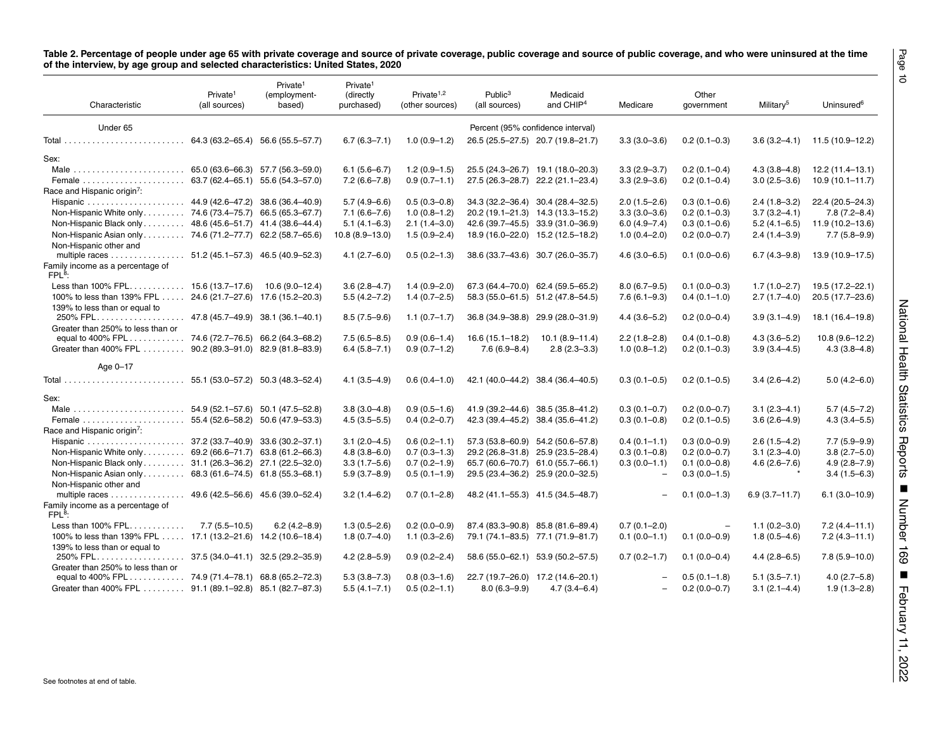<span id="page-9-0"></span>

| Characteristic                                                                                           | Private <sup>1</sup><br>(all sources) | Private <sup>1</sup><br>(employment-<br>based) | Private <sup>1</sup><br>(directly<br>purchased) | Private <sup>1,2</sup><br>(other sources) | Public <sup>3</sup><br>(all sources) | Medicaid<br>and CHIP <sup>4</sup> | Medicare                             | Other<br>government      | Military <sup>5</sup> | Uninsured <sup>6</sup>                  |
|----------------------------------------------------------------------------------------------------------|---------------------------------------|------------------------------------------------|-------------------------------------------------|-------------------------------------------|--------------------------------------|-----------------------------------|--------------------------------------|--------------------------|-----------------------|-----------------------------------------|
| Under 65                                                                                                 |                                       |                                                |                                                 |                                           |                                      | Percent (95% confidence interval) |                                      |                          |                       |                                         |
|                                                                                                          |                                       |                                                | $6.7(6.3 - 7.1)$                                | $1.0(0.9-1.2)$                            |                                      | 26.5 (25.5-27.5) 20.7 (19.8-21.7) | $3.3(3.0 - 3.6)$                     | $0.2(0.1-0.3)$           | $3.6(3.2 - 4.1)$      | 11.5 (10.9-12.2)                        |
|                                                                                                          |                                       |                                                |                                                 |                                           |                                      |                                   |                                      |                          |                       |                                         |
| Sex:                                                                                                     |                                       |                                                |                                                 |                                           |                                      | 25.5 (24.3-26.7) 19.1 (18.0-20.3) |                                      | $0.2(0.1 - 0.4)$         |                       |                                         |
|                                                                                                          |                                       |                                                | $6.1(5.6-6.7)$<br>$7.2(6.6 - 7.8)$              | $1.2(0.9-1.5)$                            |                                      |                                   | $3.3(2.9 - 3.7)$<br>$3.3(2.9 - 3.6)$ |                          | $4.3(3.8 - 4.8)$      | 12.2 (11.4-13.1)<br>$10.9(10.1 - 11.7)$ |
| Race and Hispanic origin <sup>7</sup> :                                                                  |                                       |                                                |                                                 | $0.9(0.7-1.1)$                            |                                      | 27.5 (26.3-28.7) 22.2 (21.1-23.4) |                                      | $0.2(0.1-0.4)$           | $3.0(2.5 - 3.6)$      |                                         |
|                                                                                                          |                                       |                                                | $5.7(4.9-6.6)$                                  | $0.5(0.3-0.8)$                            |                                      | 34.3 (32.2-36.4) 30.4 (28.4-32.5) | $2.0(1.5-2.6)$                       | $0.3(0.1-0.6)$           | $2.4(1.8-3.2)$        | 22.4 (20.5-24.3)                        |
| Non-Hispanic White only 74.6 (73.4–75.7) 66.5 (65.3–67.7)                                                |                                       |                                                | $7.1(6.6 - 7.6)$                                | $1.0(0.8-1.2)$                            |                                      | 20.2 (19.1-21.3) 14.3 (13.3-15.2) | $3.3(3.0 - 3.6)$                     | $0.2(0.1 - 0.3)$         | $3.7(3.2 - 4.1)$      | $7.8(7.2 - 8.4)$                        |
| Non-Hispanic Black only 48.6 (45.6–51.7) 41.4 (38.6–44.4)                                                |                                       |                                                | $5.1(4.1 - 6.3)$                                | $2.1(1.4-3.0)$                            |                                      | 42.6 (39.7-45.5) 33.9 (31.0-36.9) | $6.0(4.9 - 7.4)$                     | $0.3(0.1-0.6)$           | $5.2(4.1 - 6.5)$      | 11.9 (10.2-13.6)                        |
| Non-Hispanic Asian only 74.6 (71.2–77.7) 62.2 (58.7–65.6)                                                |                                       |                                                | $10.8(8.9-13.0)$                                | $1.5(0.9 - 2.4)$                          |                                      | 18.9 (16.0-22.0) 15.2 (12.5-18.2) | $1.0(0.4 - 2.0)$                     | $0.2(0.0-0.7)$           | $2.4(1.4-3.9)$        | $7.7(5.8-9.9)$                          |
|                                                                                                          |                                       |                                                |                                                 |                                           |                                      |                                   |                                      |                          |                       |                                         |
| Non-Hispanic other and<br>multiple races 51.2 (45.1–57.3) 46.5 (40.9–52.3)                               |                                       |                                                | $4.1(2.7-6.0)$                                  | $0.5(0.2-1.3)$                            |                                      | 38.6 (33.7-43.6) 30.7 (26.0-35.7) | $4.6(3.0 - 6.5)$                     | $0.1(0.0-0.6)$           | $6.7(4.3 - 9.8)$      | 13.9 (10.9-17.5)                        |
| Family income as a percentage of<br>FPL <sup>8</sup>                                                     |                                       |                                                |                                                 |                                           |                                      |                                   |                                      |                          |                       |                                         |
| Less than $100\%$ FPL 15.6 (13.7–17.6)                                                                   |                                       | 10.6 (9.0-12.4)                                | $3.6(2.8 - 4.7)$                                | $1.4(0.9 - 2.0)$                          |                                      | 67.3 (64.4–70.0) 62.4 (59.5–65.2) | $8.0(6.7 - 9.5)$                     | $0.1(0.0-0.3)$           | $1.7(1.0-2.7)$        | 19.5 (17.2-22.1)                        |
| 100% to less than 139% FPL 24.6 (21.7-27.6) 17.6 (15.2-20.3)                                             |                                       |                                                | $5.5(4.2 - 7.2)$                                | $1.4(0.7-2.5)$                            |                                      | 58.3 (55.0–61.5) 51.2 (47.8–54.5) | $7.6(6.1 - 9.3)$                     | $0.4(0.1-1.0)$           | $2.7(1.7-4.0)$        | 20.5 (17.7-23.6)                        |
| 139% to less than or equal to                                                                            |                                       |                                                |                                                 |                                           |                                      |                                   |                                      |                          |                       |                                         |
|                                                                                                          |                                       |                                                | $8.5(7.5-9.6)$                                  | $1.1(0.7-1.7)$                            |                                      | 36.8 (34.9-38.8) 29.9 (28.0-31.9) | $4.4(3.6 - 5.2)$                     | $0.2(0.0-0.4)$           | $3.9(3.1 - 4.9)$      | 18.1 (16.4-19.8)                        |
| Greater than 250% to less than or                                                                        |                                       |                                                |                                                 |                                           |                                      |                                   |                                      |                          |                       |                                         |
| equal to 400% FPL 74.6 (72.7–76.5) 66.2 (64.3–68.2)                                                      |                                       |                                                | $7.5(6.5 - 8.5)$                                | $0.9(0.6-1.4)$                            | $16.6(15.1 - 18.2)$                  | $10.1(8.9-11.4)$                  | $2.2(1.8-2.8)$                       | $0.4(0.1-0.8)$           | $4.3(3.6 - 5.2)$      | $10.8(9.6-12.2)$                        |
| Greater than 400% FPL 90.2 (89.3-91.0) 82.9 (81.8-83.9)                                                  |                                       |                                                | $6.4(5.8 - 7.1)$                                | $0.9(0.7-1.2)$                            | $7.6(6.9 - 8.4)$                     | $2.8(2.3-3.3)$                    | $1.0(0.8-1.2)$                       | $0.2(0.1-0.3)$           | $3.9(3.4 - 4.5)$      | $4.3(3.8 - 4.8)$                        |
| Age 0-17                                                                                                 |                                       |                                                |                                                 |                                           |                                      |                                   |                                      |                          |                       |                                         |
|                                                                                                          |                                       |                                                | $4.1(3.5 - 4.9)$                                | $0.6(0.4-1.0)$                            |                                      | 42.1 (40.0–44.2) 38.4 (36.4–40.5) | $0.3(0.1-0.5)$                       | $0.2(0.1 - 0.5)$         | $3.4(2.6-4.2)$        | $5.0(4.2 - 6.0)$                        |
|                                                                                                          |                                       |                                                |                                                 |                                           |                                      |                                   |                                      |                          |                       |                                         |
| Sex:                                                                                                     |                                       |                                                |                                                 |                                           |                                      |                                   |                                      |                          |                       |                                         |
|                                                                                                          |                                       |                                                | $3.8(3.0-4.8)$                                  | $0.9(0.5-1.6)$                            |                                      | 41.9 (39.2–44.6) 38.5 (35.8–41.2) | $0.3(0.1-0.7)$                       | $0.2(0.0-0.7)$           | $3.1(2.3 - 4.1)$      | $5.7(4.5 - 7.2)$                        |
|                                                                                                          |                                       |                                                | $4.5(3.5 - 5.5)$                                | $0.4(0.2 - 0.7)$                          |                                      | 42.3 (39.4–45.2) 38.4 (35.6–41.2) | $0.3(0.1-0.8)$                       | $0.2(0.1-0.5)$           | $3.6(2.6-4.9)$        | $4.3(3.4 - 5.5)$                        |
| Race and Hispanic origin <sup>7</sup> :                                                                  |                                       |                                                |                                                 |                                           |                                      |                                   |                                      |                          |                       |                                         |
|                                                                                                          |                                       |                                                | $3.1(2.0-4.5)$                                  | $0.6(0.2 - 1.1)$                          |                                      | 57.3 (53.8-60.9) 54.2 (50.6-57.8) | $0.4(0.1-1.1)$                       | $0.3(0.0-0.9)$           | $2.6(1.5-4.2)$        | $7.7(5.9-9.9)$                          |
| Non-Hispanic White only 69.2 (66.6–71.7) 63.8 (61.2–66.3)                                                |                                       |                                                | $4.8(3.8 - 6.0)$                                | $0.7(0.3-1.3)$                            |                                      | 29.2 (26.8-31.8) 25.9 (23.5-28.4) | $0.3(0.1-0.8)$                       | $0.2(0.0-0.7)$           | $3.1(2.3 - 4.0)$      | $3.8(2.7 - 5.0)$                        |
| Non-Hispanic Black only 31.1 (26.3–36.2) 27.1 (22.5–32.0)                                                |                                       |                                                | $3.3(1.7-5.6)$                                  | $0.7(0.2 - 1.9)$                          |                                      | 65.7 (60.6-70.7) 61.0 (55.7-66.1) | $0.3(0.0-1.1)$                       | $0.1(0.0-0.8)$           | $4.6(2.6 - 7.6)$      | $4.9(2.8 - 7.9)$                        |
| Non-Hispanic Asian only 68.3 (61.6–74.5) 61.8 (55.3–68.1)                                                |                                       |                                                | $5.9(3.7 - 8.9)$                                | $0.5(0.1-1.9)$                            |                                      | 29.5 (23.4-36.2) 25.9 (20.0-32.5) | $\overline{\phantom{a}}$             | $0.3(0.0-1.5)$           |                       | $3.4(1.5-6.3)$                          |
| Non-Hispanic other and                                                                                   |                                       |                                                |                                                 |                                           |                                      |                                   |                                      |                          |                       |                                         |
| multiple races 49.6 (42.5-56.6) 45.6 (39.0-52.4)<br>Family income as a percentage of<br>FPL <sup>8</sup> |                                       |                                                | $3.2(1.4 - 6.2)$                                | $0.7(0.1 - 2.8)$                          |                                      | 48.2 (41.1–55.3) 41.5 (34.5–48.7) |                                      | $0.1(0.0-1.3)$           | $6.9(3.7 - 11.7)$     | $6.1(3.0-10.9)$                         |
| Less than $100\%$ FPL                                                                                    | $7.7(5.5 - 10.5)$                     | $6.2(4.2 - 8.9)$                               | $1.3(0.5 - 2.6)$                                | $0.2(0.0-0.9)$                            |                                      | 87.4 (83.3-90.8) 85.8 (81.6-89.4) | $0.7(0.1 - 2.0)$                     | $\overline{\phantom{m}}$ | $1.1(0.2 - 3.0)$      | $7.2(4.4 - 11.1)$                       |
| 100% to less than 139% FPL 17.1 (13.2-21.6) 14.2 (10.6-18.4)                                             |                                       |                                                | $1.8(0.7-4.0)$                                  | $1.1(0.3 - 2.6)$                          |                                      | 79.1 (74.1-83.5) 77.1 (71.9-81.7) | $0.1(0.0-1.1)$                       | $0.1(0.0-0.9)$           | $1.8(0.5 - 4.6)$      | $7.2(4.3 - 11.1)$                       |
| 139% to less than or equal to                                                                            |                                       |                                                |                                                 |                                           |                                      |                                   |                                      |                          |                       |                                         |
|                                                                                                          |                                       |                                                | $4.2(2.8 - 5.9)$                                | $0.9(0.2 - 2.4)$                          |                                      | 58.6 (55.0–62.1) 53.9 (50.2–57.5) | $0.7(0.2 - 1.7)$                     | $0.1(0.0-0.4)$           | $4.4(2.8-6.5)$        | $7.8(5.9 - 10.0)$                       |
| Greater than 250% to less than or                                                                        |                                       |                                                |                                                 |                                           |                                      |                                   |                                      |                          |                       |                                         |
|                                                                                                          |                                       |                                                | $5.3(3.8 - 7.3)$                                | $0.8(0.3-1.6)$                            |                                      | 22.7 (19.7-26.0) 17.2 (14.6-20.1) |                                      | $0.5(0.1-1.8)$           | $5.1(3.5 - 7.1)$      | $4.0(2.7-5.8)$                          |
| Greater than 400% FPL                                                                                    |                                       | 91.1 (89.1-92.8) 85.1 (82.7-87.3)              | $5.5(4.1 - 7.1)$                                | $0.5(0.2 - 1.1)$                          |                                      | $8.0(6.3-9.9)$ $4.7(3.4-6.4)$     |                                      | $0.2(0.0-0.7)$           | $3.1(2.1-4.4)$        | $1.9(1.3 - 2.8)$                        |
|                                                                                                          |                                       |                                                |                                                 |                                           |                                      |                                   |                                      |                          |                       |                                         |

National Health Statistics Reports National Health Statistics Reports ■ Number 169 Number 169 **E-Boruary 11, 2022** 

Page 10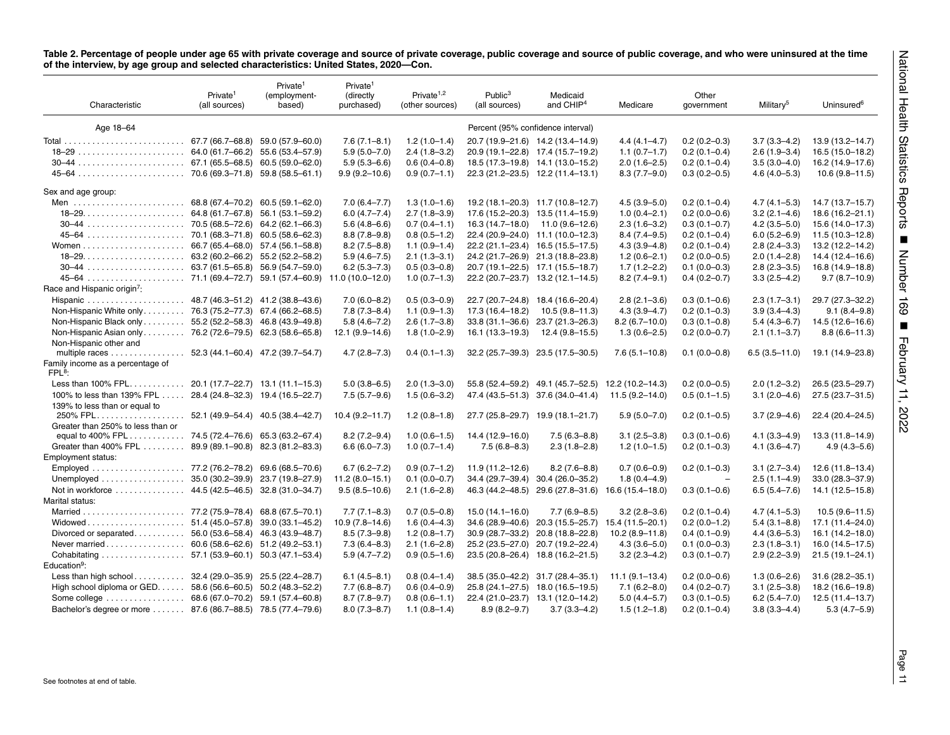|                                                              | Private <sup>1</sup><br>(all sources) | (employment-<br>based)            | Private <sup>1</sup><br>(directly<br>purchased) | Private <sup><math>1,2</math></sup><br>(other sources) | Public <sup>3</sup><br>(all sources) | Medicaid<br>and CHIP <sup>4</sup>                  | Medicare           | Other<br>government           | Military <sup>5</sup> | Uninsured <sup>6</sup>          |
|--------------------------------------------------------------|---------------------------------------|-----------------------------------|-------------------------------------------------|--------------------------------------------------------|--------------------------------------|----------------------------------------------------|--------------------|-------------------------------|-----------------------|---------------------------------|
| Age 18-64                                                    |                                       |                                   |                                                 |                                                        | Percent (95% confidence interval)    |                                                    |                    |                               |                       |                                 |
|                                                              |                                       |                                   | $7.6(7.1 - 8.1)$                                | $1.2(1.0-1.4)$                                         |                                      | 20.7 (19.9-21.6) 14.2 (13.4-14.9)                  | $4.4(4.1 - 4.7)$   | $0.2(0.2-0.3)$                | $3.7(3.3 - 4.2)$      | 13.9 (13.2-14.7)                |
|                                                              |                                       |                                   | $5.9(5.0 - 7.0)$                                | $2.4(1.8-3.2)$                                         |                                      | 20.9 (19.1-22.8) 17.4 (15.7-19.2)                  | $1.1(0.7-1.7)$     | $0.2(0.1-0.4)$                | $2.6(1.9-3.4)$        | 16.5 (15.0-18.2)                |
|                                                              |                                       |                                   | $5.9(5.3 - 6.6)$                                | $0.6(0.4-0.8)$                                         |                                      | 18.5 (17.3-19.8) 14.1 (13.0-15.2)                  | $2.0(1.6-2.5)$     | $0.2(0.1-0.4)$                | $3.5(3.0-4.0)$        | 16.2 (14.9-17.6)                |
|                                                              |                                       |                                   | $9.9(9.2 - 10.6)$                               | $0.9(0.7-1.1)$                                         |                                      | 22.3 (21.2-23.5) 12.2 (11.4-13.1)                  | $8.3(7.7-9.0)$     | $0.3(0.2 - 0.5)$              | $4.6(4.0 - 5.3)$      | $10.6(9.8-11.5)$                |
| Sex and age group:                                           |                                       |                                   |                                                 |                                                        |                                      |                                                    |                    |                               |                       |                                 |
|                                                              |                                       | 68.8 (67.4–70.2) 60.5 (59.1–62.0) | $7.0(6.4 - 7.7)$                                | $1.3(1.0-1.6)$                                         |                                      | 19.2 (18.1-20.3) 11.7 (10.8-12.7)                  | $4.5(3.9 - 5.0)$   | $0.2(0.1-0.4)$                | $4.7(4.1 - 5.3)$      | 14.7 (13.7–15.7)                |
|                                                              |                                       |                                   | $6.0(4.7 - 7.4)$                                | $2.7(1.8-3.9)$                                         |                                      | 17.6 (15.2-20.3) 13.5 (11.4-15.9)                  | $1.0(0.4 - 2.1)$   | $0.2(0.0-0.6)$                | $3.2(2.1 - 4.6)$      | $18.6(16.2 - 21.1)$             |
|                                                              |                                       |                                   | $5.6(4.8-6.6)$                                  | $0.7(0.4-1.1)$                                         |                                      | $16.3(14.7-18.0)$ 11.0 (9.6-12.6)                  | $2.3(1.6-3.2)$     | $0.3(0.1-0.7)$                | $4.2(3.5-5.0)$        | 15.6 (14.0-17.3)                |
|                                                              |                                       |                                   | $8.8(7.8-9.8)$                                  | $0.8(0.5-1.2)$                                         |                                      | 22.4 (20.9-24.0) 11.1 (10.0-12.3)                  | $8.4(7.4-9.5)$     | $0.2(0.1-0.4)$                | $6.0(5.2 - 6.9)$      | $11.5(10.3 - 12.8)$             |
|                                                              |                                       |                                   | $8.2(7.5 - 8.8)$                                | $1.1(0.9-1.4)$                                         |                                      | 22.2 (21.1-23.4) 16.5 (15.5-17.5)                  | $4.3(3.9 - 4.8)$   | $0.2(0.1-0.4)$                | $2.8(2.4 - 3.3)$      | 13.2 (12.2-14.2)                |
|                                                              |                                       |                                   | $5.9(4.6 - 7.5)$                                | $2.1(1.3-3.1)$                                         |                                      | 24.2 (21.7-26.9) 21.3 (18.8-23.8)                  | $1.2(0.6-2.1)$     | $0.2(0.0-0.5)$                | $2.0(1.4-2.8)$        | 14.4 (12.4–16.6)                |
|                                                              |                                       |                                   | $6.2(5.3 - 7.3)$                                | $0.5(0.3-0.8)$                                         |                                      | 20.7 (19.1-22.5) 17.1 (15.5-18.7)                  | $1.7(1.2 - 2.2)$   | $0.1(0.0-0.3)$                | $2.8(2.3 - 3.5)$      | 16.8 (14.9-18.8)                |
|                                                              |                                       |                                   |                                                 | $1.0(0.7-1.3)$                                         |                                      | 22.2 (20.7-23.7) 13.2 (12.1-14.5)                  | $8.2(7.4 - 9.1)$   | $0.4(0.2 - 0.7)$              | $3.3(2.5 - 4.2)$      | $9.7(8.7-10.9)$                 |
| Race and Hispanic origin <sup>7</sup> :                      |                                       |                                   |                                                 |                                                        |                                      |                                                    |                    |                               |                       |                                 |
|                                                              |                                       |                                   | $7.0(6.0 - 8.2)$                                | $0.5(0.3-0.9)$                                         |                                      | 22.7 (20.7-24.8) 18.4 (16.6-20.4)                  | $2.8(2.1 - 3.6)$   | $0.3(0.1-0.6)$                | $2.3(1.7-3.1)$        | 29.7 (27.3-32.2)                |
| Non-Hispanic White only 76.3 (75.2–77.3) 67.4 (66.2–68.5)    |                                       |                                   | $7.8(7.3 - 8.4)$                                | $1.1(0.9-1.3)$                                         | 17.3 (16.4–18.2)                     | 10.5 (9.8–11.3)                                    | $4.3(3.9 - 4.7)$   | $0.2(0.1-0.3)$                | $3.9(3.4 - 4.3)$      | $9.1(8.4 - 9.8)$                |
| Non-Hispanic Black only 55.2 (52.2–58.3) 46.8 (43.9–49.8)    |                                       |                                   | $5.8(4.6 - 7.2)$                                | $2.6(1.7-3.8)$                                         |                                      | 33.8 (31.1-36.6) 23.7 (21.3-26.3)                  | $8.2(6.7-10.0)$    | $0.3(0.1-0.8)$                | $5.4(4.3-6.7)$        | 14.5 (12.6-16.6)                |
| Non-Hispanic Asian only 76.2 (72.6–79.5) 62.3 (58.6–65.8)    |                                       |                                   | 12.1 (9.9-14.6)                                 | $1.8(1.0 - 2.9)$                                       | 16.1 (13.3–19.3)                     | 12.4 (9.8–15.5)                                    | $1.3(0.6 - 2.5)$   | $0.2(0.0-0.7)$                | $2.1(1.1-3.7)$        | $8.8(6.6 - 11.3)$               |
| Non-Hispanic other and                                       |                                       |                                   |                                                 |                                                        |                                      |                                                    |                    |                               |                       |                                 |
| multiple races 52.3 (44.1–60.4) 47.2 (39.7–54.7)             |                                       |                                   | $4.7(2.8 - 7.3)$                                | $0.4(0.1-1.3)$                                         |                                      | 32.2 (25.7-39.3) 23.5 (17.5-30.5)                  | $7.6(5.1 - 10.8)$  | $0.1(0.0-0.8)$                | $6.5(3.5-11.0)$       | 19.1 (14.9–23.8)                |
| Family income as a percentage of                             |                                       |                                   |                                                 |                                                        |                                      |                                                    |                    |                               |                       |                                 |
| FPL <sup>8</sup>                                             |                                       |                                   |                                                 |                                                        |                                      |                                                    |                    |                               |                       |                                 |
|                                                              |                                       |                                   | $5.0(3.8-6.5)$                                  | $2.0(1.3 - 3.0)$                                       |                                      | 55.8 (52.4-59.2) 49.1 (45.7-52.5) 12.2 (10.2-14.3) |                    | $0.2(0.0-0.5)$                | $2.0(1.2 - 3.2)$      | 26.5 (23.5-29.7)                |
| 100% to less than 139% FPL 28.4 (24.8-32.3) 19.4 (16.5-22.7) |                                       |                                   | $7.5(5.7-9.6)$                                  | $1.5(0.6 - 3.2)$                                       |                                      | 47.4 (43.5–51.3) 37.6 (34.0–41.4)                  | 11.5 (9.2-14.0)    | $0.5(0.1-1.5)$                | $3.1(2.0-4.6)$        | 27.5 (23.7-31.5)                |
| 139% to less than or equal to                                |                                       |                                   |                                                 |                                                        |                                      |                                                    |                    |                               |                       |                                 |
|                                                              |                                       |                                   | $10.4(9.2 - 11.7)$                              | $1.2(0.8-1.8)$                                         |                                      | 27.7 (25.8-29.7) 19.9 (18.1-21.7)                  | $5.9(5.0 - 7.0)$   | $0.2(0.1-0.5)$                | $3.7(2.9-4.6)$        | 22.4 (20.4-24.5)                |
| Greater than 250% to less than or                            |                                       |                                   | $8.2(7.2 - 9.4)$                                | $1.0(0.6-1.5)$                                         | 14.4 (12.9-16.0)                     | $7.5(6.3 - 8.8)$                                   | $3.1(2.5-3.8)$     | $0.3(0.1-0.6)$                | $4.1(3.3 - 4.9)$      | 13.3 (11.8-14.9)                |
| Greater than 400% FPL 89.9 (89.1-90.8) 82.3 (81.2-83.3)      |                                       |                                   |                                                 |                                                        |                                      |                                                    | $1.2(1.0-1.5)$     | $0.2(0.1-0.3)$                | $4.1(3.6 - 4.7)$      |                                 |
| <b>Employment status:</b>                                    |                                       |                                   | $6.6(6.0 - 7.3)$                                | $1.0(0.7-1.4)$                                         | $7.5(6.8 - 8.3)$                     | $2.3(1.8-2.8)$                                     |                    |                               |                       | $4.9(4.3 - 5.6)$                |
|                                                              |                                       |                                   |                                                 |                                                        |                                      |                                                    |                    |                               |                       |                                 |
|                                                              |                                       |                                   | $6.7(6.2 - 7.2)$                                | $0.9(0.7-1.2)$                                         | 11.9 (11.2-12.6)                     | $8.2(7.6 - 8.8)$                                   | $0.7(0.6 - 0.9)$   | $0.2(0.1-0.3)$                | $3.1(2.7-3.4)$        | 12.6 (11.8-13.4)                |
|                                                              |                                       |                                   | $11.2(8.0-15.1)$                                | $0.1(0.0-0.7)$                                         |                                      | 34.4 (29.7-39.4) 30.4 (26.0-35.2)                  | $1.8(0.4 - 4.9)$   |                               | $2.5(1.1-4.9)$        | 33.0 (28.3-37.9)                |
|                                                              |                                       |                                   | $9.5(8.5 - 10.6)$                               | $2.1(1.6-2.8)$                                         |                                      | 46.3 (44.2-48.5) 29.6 (27.8-31.6) 16.6 (15.4-18.0) |                    | $0.3(0.1-0.6)$                | $6.5(5.4 - 7.6)$      | 14.1 (12.5-15.8)                |
| Marital status:                                              |                                       |                                   |                                                 |                                                        |                                      |                                                    |                    |                               |                       |                                 |
|                                                              |                                       |                                   | $7.7(7.1 - 8.3)$                                | $0.7(0.5-0.8)$                                         | $15.0(14.1 - 16.0)$                  | $7.7(6.9 - 8.5)$                                   | $3.2(2.8-3.6)$     | $0.2(0.1-0.4)$                | $4.7(4.1 - 5.3)$      | $10.5(9.6 - 11.5)$              |
|                                                              |                                       |                                   | $10.9(7.8-14.6)$                                | $1.6(0.4 - 4.3)$                                       |                                      | 34.6 (28.9–40.6) 20.3 (15.5–25.7) 15.4 (11.5–20.1) |                    | $0.2(0.0-1.2)$                | $5.4(3.1 - 8.8)$      | 17.1 (11.4-24.0)                |
| Divorced or separated 56.0 (53.6–58.4) 46.3 (43.9–48.7)      |                                       |                                   | $8.5(7.3 - 9.8)$                                | $1.2(0.8-1.7)$                                         |                                      | 30.9 (28.7-33.2) 20.8 (18.8-22.8)                  | $10.2(8.9 - 11.8)$ | $0.4(0.1-0.9)$                | $4.4(3.6-5.3)$        | $16.1(14.2 - 18.0)$             |
| Never married 60.6 (58.6–62.6) 51.2 (49.2–53.1)              |                                       |                                   | $7.3(6.4 - 8.3)$                                | $2.1(1.6-2.8)$                                         |                                      | 25.2 (23.5-27.0) 20.7 (19.2-22.4)                  | $4.3(3.6 - 5.0)$   | $0.1(0.0-0.3)$                | $2.3(1.8-3.1)$        | 16.0 (14.5-17.5)                |
|                                                              |                                       |                                   | $5.9(4.7 - 7.2)$                                | $0.9(0.5-1.6)$                                         |                                      | 23.5 (20.8-26.4) 18.8 (16.2-21.5)                  | $3.2(2.3 - 4.2)$   | $0.3(0.1-0.7)$                | $2.9(2.2 - 3.9)$      | $21.5(19.1 - 24.1)$             |
| Education <sup>9</sup> :                                     |                                       |                                   |                                                 |                                                        |                                      |                                                    |                    |                               |                       |                                 |
|                                                              |                                       |                                   | $6.1(4.5 - 8.1)$                                | $0.8(0.4-1.4)$                                         |                                      | 38.5 (35.0–42.2) 31.7 (28.4–35.1)                  | 11.1 (9.1–13.4)    | $0.2(0.0-0.6)$                | $1.3(0.6-2.6)$        | 31.6 (28.2-35.1)                |
| High school diploma or GED.                                  |                                       | 58.6 (56.6-60.5) 50.2 (48.3-52.2) | $7.7(6.8 - 8.7)$                                | $0.6(0.4-0.9)$                                         |                                      | 25.8 (24.1-27.5) 18.0 (16.5-19.5)                  | $7.1(6.2 - 8.0)$   | $0.4(0.2 - 0.7)$              |                       | $3.1(2.5-3.8)$ 18.2 (16.6-19.8) |
|                                                              |                                       |                                   | $8.7(7.8-9.7)$                                  | $0.8(0.6-1.1)$                                         |                                      | 22.4 (21.0-23.7) 13.1 (12.0-14.2)                  |                    | $5.0(4.4-5.7)$ $0.3(0.1-0.5)$ |                       | $6.2(5.4-7.0)$ 12.5 (11.4-13.7) |
| Bachelor's degree or more  87.6 (86.7–88.5) 78.5 (77.4–79.6) |                                       |                                   | $8.0(7.3 - 8.7)$                                | $1.1(0.8-1.4)$                                         | $8.9(8.2 - 9.7)$                     | $3.7(3.3 - 4.2)$                                   | $1.5(1.2 - 1.8)$   | $0.2(0.1 - 0.4)$              | $3.8(3.3 - 4.4)$      | $5.3(4.7-5.9)$                  |
|                                                              |                                       |                                   |                                                 |                                                        |                                      |                                                    |                    |                               |                       |                                 |
|                                                              |                                       |                                   |                                                 |                                                        |                                      |                                                    |                    |                               |                       |                                 |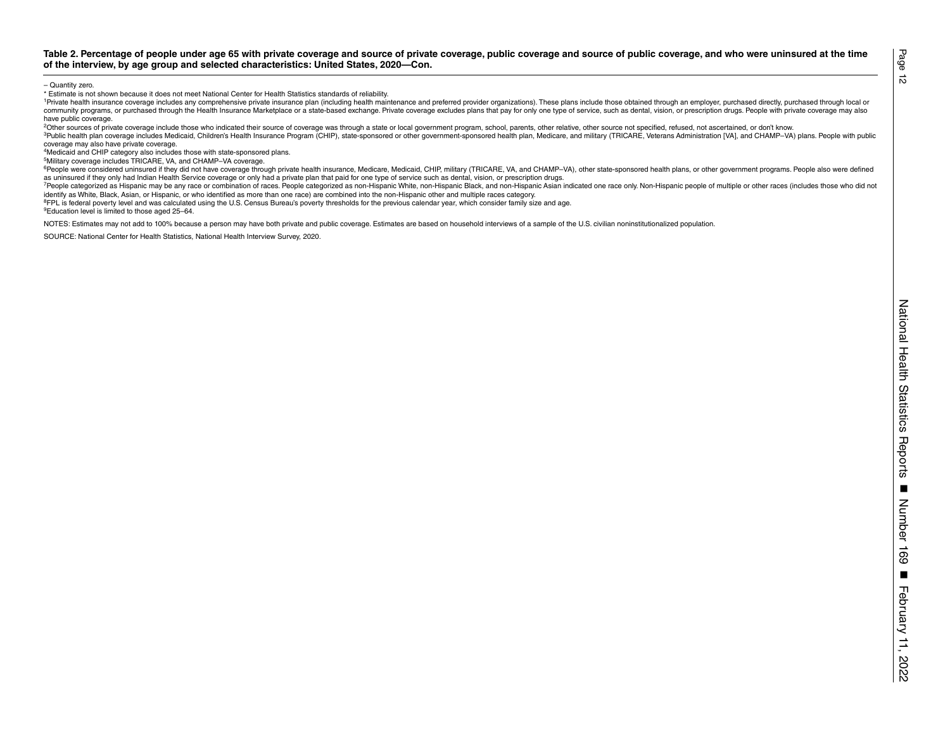\* Estimate is not shown because it does not meet National Center for Health Statistics standards of reliability.

February 11, 2022 **Table 2. Percentage of people under age 65 with private coverage and source of private coverage, public coverage and source of public coverage, and who were uninsured at the time of the interview, by age group and selected characteristics: United States, 2020—Con.** – Quantity zero. <sup>1</sup>Private health insurance coverage includes any comprehensive private insurance plan (including health maintenance and preferred provider organizations). These plans include those obtained through an employer, purchased community programs, or purchased through the Health Insurance Marketplace or a state-based exchange. Private coverage excludes plans that pay for only one type of service, such as dental, vision, or prescription drugs. Peo have public coverage.

<sup>2</sup>Other sources of private coverage include those who indicated their source of coverage was through a state or local government program, school, parents, other relative, other source not specified, refused, not ascertain

3Public health plan coverage includes Medicaid, Children's Health Insurance Program (CHIP), state-sponsored or other government-sponsored health plan, Medicare, and military (TRICARE, Veterans Administration [VA], and CHAM coverage may also have private coverage.

4Medicaid and CHIP category also includes those with state-sponsored plans.

5Military coverage includes TRICARE, VA, and CHAMP–VA coverage.

<sup>6</sup>People were considered uninsured if they did not have coverage through private health insurance. Medicare. Medicare. Medicaid. CHIP. military (TRICARE, VA, and CHAMP-VA), other state-sponsored health plans, or other gov as uninsured if they only had Indian Health Service coverage or only had a private plan that paid for one type of service such as dental, vision, or prescription drugs.

7People categorized as Hispanic may be any race or combination of races. People categorized as non-Hispanic White, non-Hispanic Black, and non-Hispanic Asian indicated one race only. Non-Hispanic people of multiple or othe identify as White, Black, Asian, or Hispanic, or who identified as more than one race) are combined into the non-Hispanic other and multiple races category.

<sup>8</sup>FPL is federal poverty level and was calculated using the U.S. Census Bureau's poverty thresholds for the previous calendar year, which consider family size and age.

9Education level is limited to those aged 25–64.

NOTES: Estimates may not add to 100% because a person may have both private and public coverage. Estimates are based on household interviews of a sample of the U.S. civilian noninstitutionalized population.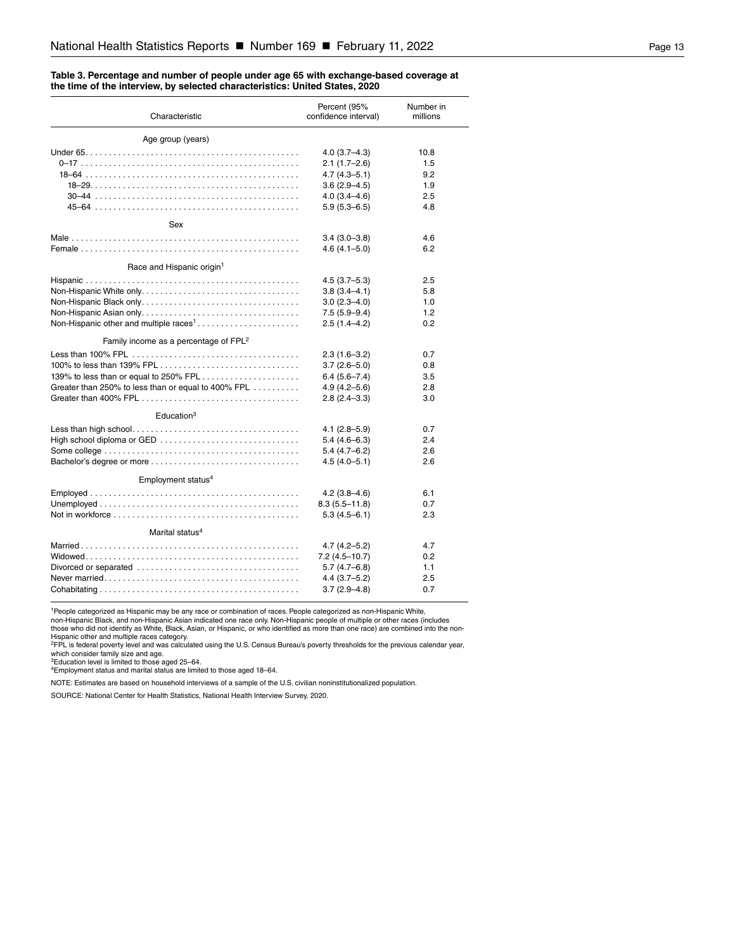#### <span id="page-12-0"></span>**Table 3. Percentage and number of people under age 65 with exchange-based coverage at the time of the interview, by selected characteristics: United States, 2020**

| Characteristic                                      | Percent (95%<br>confidence interval) | Number in<br>millions |
|-----------------------------------------------------|--------------------------------------|-----------------------|
| Age group (years)                                   |                                      |                       |
|                                                     | $4.0(3.7 - 4.3)$                     | 10.8                  |
|                                                     | $2.1(1.7-2.6)$                       | 1.5                   |
|                                                     | $4.7(4.3 - 5.1)$                     | 9.2                   |
|                                                     | $3.6(2.9 - 4.5)$                     | 1.9                   |
|                                                     | $4.0(3.4 - 4.6)$                     | 2.5                   |
|                                                     | $5.9(5.3 - 6.5)$                     | 4.8                   |
| Sex                                                 |                                      |                       |
|                                                     | $3.4(3.0-3.8)$                       | 4.6                   |
|                                                     | $4.6(4.1 - 5.0)$                     | 6.2                   |
| Race and Hispanic origin <sup>1</sup>               |                                      |                       |
|                                                     | $4.5(3.7-5.3)$                       | 2.5                   |
|                                                     | $3.8(3.4 - 4.1)$                     | 5.8                   |
|                                                     | $3.0(2.3 - 4.0)$                     | 1.0                   |
|                                                     | $7.5(5.9-9.4)$                       | 1.2                   |
| Non-Hispanic other and multiple races <sup>1</sup>  | $2.5(1.4 - 4.2)$                     | 0.2                   |
| Family income as a percentage of FPL <sup>2</sup>   |                                      |                       |
|                                                     | $2.3(1.6-3.2)$                       | 0.7                   |
|                                                     | $3.7(2.6 - 5.0)$                     | 0.8                   |
| 139% to less than or equal to 250% FPL              | $6.4(5.6 - 7.4)$                     | 3.5                   |
| Greater than 250% to less than or equal to 400% FPL | $4.9(4.2 - 5.6)$                     | 2.8                   |
|                                                     | $2.8(2.4 - 3.3)$                     | 3.0                   |
| Education <sup>3</sup>                              |                                      |                       |
|                                                     | $4.1(2.8 - 5.9)$                     | 0.7                   |
| High school diploma or GED                          | $5.4(4.6-6.3)$                       | 2.4                   |
|                                                     | $5.4(4.7-6.2)$                       | 2.6                   |
|                                                     | $4.5(4.0 - 5.1)$                     | 2.6                   |
| Employment status <sup>4</sup>                      |                                      |                       |
|                                                     | $4.2(3.8-4.6)$                       | 6.1                   |
|                                                     | $8.3(5.5 - 11.8)$                    | 0.7                   |
|                                                     | $5.3(4.5 - 6.1)$                     | 2.3                   |
| Marital status <sup>4</sup>                         |                                      |                       |
|                                                     | 4.7 (4.2–5.2)                        | 4.7                   |
|                                                     | $7.2(4.5 - 10.7)$                    | 0.2                   |
|                                                     | $5.7(4.7-6.8)$                       | 1.1                   |
|                                                     | $4.4(3.7-5.2)$                       | 2.5                   |
|                                                     | $3.7(2.9 - 4.8)$                     | 0.7                   |

<sup>1</sup>People categorized as Hispanic may be any race or combination of races. People categorized as non-Hispanic White,<br>non-Hispanic Black, and non-Hispanic Asian indicated one race only. Non-Hispanic people of multiple or ot

Hispanic other and multiple races category.<br><sup>2</sup>FPL is federal poverty level and was calculated using the U.S. Census Bureau's poverty thresholds for the previous calendar year,<br>which consider family size and age.<br><sup>4</sup>Employ

NOTE: Estimates are based on household interviews of a sample of the U.S. civilian noninstitutionalized population.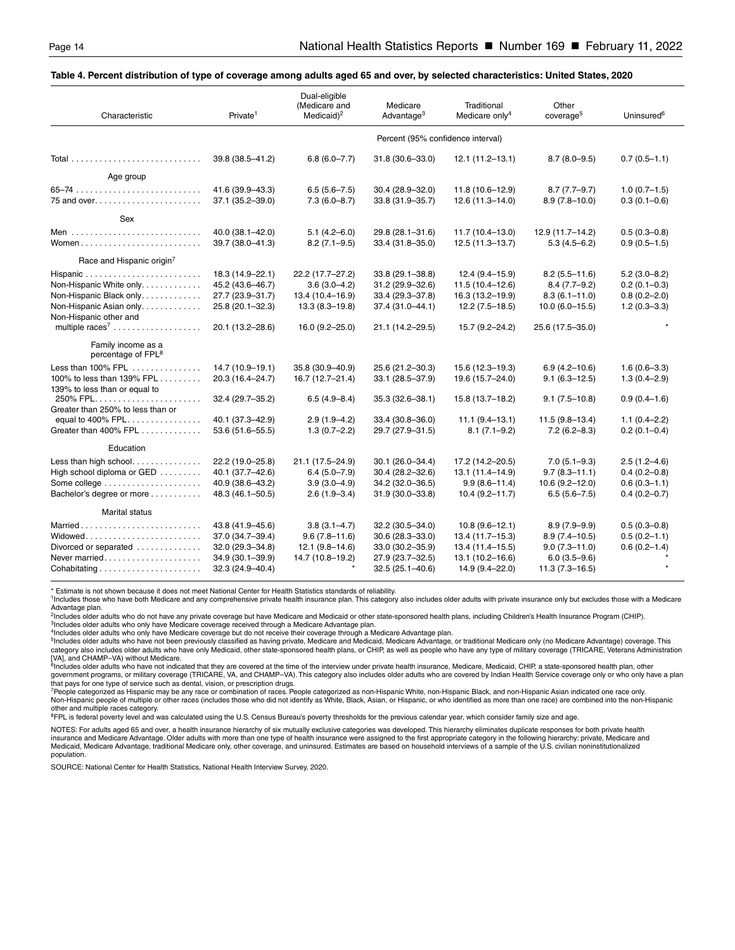#### <span id="page-13-0"></span>**Table 4. Percent distribution of type of coverage among adults aged 65 and over, by selected characteristics: United States, 2020**

| Characteristic                                                                                            | Private <sup>1</sup>                                                                             | Dual-eligible<br>(Medicare and<br>Medicaid) $2$                                                    | Medicare<br>Advantage <sup>3</sup>                                                                     | Traditional<br>Medicare only <sup>4</sup>                                                            | Other<br>coverage <sup>5</sup>                                                                       | Uninsured <sup>6</sup>                                                       |  |  |  |
|-----------------------------------------------------------------------------------------------------------|--------------------------------------------------------------------------------------------------|----------------------------------------------------------------------------------------------------|--------------------------------------------------------------------------------------------------------|------------------------------------------------------------------------------------------------------|------------------------------------------------------------------------------------------------------|------------------------------------------------------------------------------|--|--|--|
|                                                                                                           | Percent (95% confidence interval)                                                                |                                                                                                    |                                                                                                        |                                                                                                      |                                                                                                      |                                                                              |  |  |  |
|                                                                                                           | 39.8 (38.5-41.2)                                                                                 | $6.8(6.0 - 7.7)$                                                                                   | 31.8 (30.6-33.0)                                                                                       | $12.1(11.2 - 13.1)$                                                                                  | $8.7(8.0-9.5)$                                                                                       | $0.7(0.5 - 1.1)$                                                             |  |  |  |
| Age group                                                                                                 |                                                                                                  |                                                                                                    |                                                                                                        |                                                                                                      |                                                                                                      |                                                                              |  |  |  |
|                                                                                                           | 41.6 (39.9-43.3)<br>37.1 (35.2-39.0)                                                             | $6.5(5.6 - 7.5)$<br>$7.3(6.0 - 8.7)$                                                               | 30.4 (28.9-32.0)<br>33.8 (31.9-35.7)                                                                   | 11.8 (10.6-12.9)<br>$12.6(11.3 - 14.0)$                                                              | $8.7(7.7-9.7)$<br>$8.9(7.8 - 10.0)$                                                                  | $1.0(0.7-1.5)$<br>$0.3(0.1 - 0.6)$                                           |  |  |  |
| Sex                                                                                                       |                                                                                                  |                                                                                                    |                                                                                                        |                                                                                                      |                                                                                                      |                                                                              |  |  |  |
| Women                                                                                                     | 40.0 (38.1-42.0)<br>39.7 (38.0-41.3)                                                             | $5.1(4.2 - 6.0)$<br>$8.2(7.1 - 9.5)$                                                               | 29.8 (28.1-31.6)<br>33.4 (31.8-35.0)                                                                   | $11.7(10.4-13.0)$<br>$12.5(11.3 - 13.7)$                                                             | 12.9 (11.7-14.2)<br>$5.3(4.5 - 6.2)$                                                                 | $0.5(0.3 - 0.8)$<br>$0.9(0.5 - 1.5)$                                         |  |  |  |
| Race and Hispanic origin <sup>7</sup>                                                                     |                                                                                                  |                                                                                                    |                                                                                                        |                                                                                                      |                                                                                                      |                                                                              |  |  |  |
| Non-Hispanic White only.<br>Non-Hispanic Black only<br>Non-Hispanic Asian only.<br>Non-Hispanic other and | 18.3 (14.9-22.1)<br>45.2 (43.6-46.7)<br>27.7 (23.9-31.7)<br>25.8 (20.1-32.3)<br>20.1 (13.2-28.6) | 22.2 (17.7–27.2)<br>$3.6(3.0-4.2)$<br>13.4 (10.4-16.9)<br>$13.3(8.3 - 19.8)$<br>$16.0(9.2 - 25.0)$ | $33.8(29.1 - 38.8)$<br>31.2 (29.9-32.6)<br>33.4 (29.3-37.8)<br>37.4 (31.0-44.1)<br>21.1 (14.2–29.5)    | $12.4(9.4-15.9)$<br>$11.5(10.4 - 12.6)$<br>16.3 (13.2-19.9)<br>$12.2(7.5-18.5)$<br>15.7 (9.2-24.2)   | $8.2(5.5 - 11.6)$<br>$8.4(7.7-9.2)$<br>$8.3(6.1 - 11.0)$<br>$10.0(6.0-15.5)$<br>25.6 (17.5-35.0)     | $5.2(3.0 - 8.2)$<br>$0.2(0.1 - 0.3)$<br>$0.8(0.2 - 2.0)$<br>$1.2(0.3 - 3.3)$ |  |  |  |
| Family income as a<br>percentage of FPL <sup>8</sup>                                                      |                                                                                                  |                                                                                                    |                                                                                                        |                                                                                                      |                                                                                                      |                                                                              |  |  |  |
| Less than 100% FPL<br>100% to less than 139% FPL<br>139% to less than or equal to                         | 14.7 (10.9-19.1)<br>20.3 (16.4-24.7)                                                             | 35.8 (30.9-40.9)<br>16.7 (12.7-21.4)                                                               | 25.6 (21.2-30.3)<br>33.1 (28.5-37.9)                                                                   | 15.6 (12.3-19.3)<br>19.6 (15.7-24.0)                                                                 | $6.9(4.2 - 10.6)$<br>$9.1(6.3 - 12.5)$                                                               | $1.6(0.6 - 3.3)$<br>$1.3(0.4 - 2.9)$                                         |  |  |  |
| 250% FPL<br>Greater than 250% to less than or                                                             | 32.4 (29.7-35.2)                                                                                 | $6.5(4.9 - 8.4)$                                                                                   | 35.3 (32.6-38.1)                                                                                       | 15.8 (13.7-18.2)                                                                                     | $9.1(7.5-10.8)$                                                                                      | $0.9(0.4 - 1.6)$                                                             |  |  |  |
| Greater than 400% FPL                                                                                     | 40.1 (37.3-42.9)<br>53.6 (51.6-55.5)                                                             | $2.9(1.9-4.2)$<br>$1.3(0.7-2.2)$                                                                   | 33.4 (30.8-36.0)<br>29.7 (27.9-31.5)                                                                   | $11.1 (9.4 - 13.1)$<br>$8.1(7.1-9.2)$                                                                | $11.5(9.8 - 13.4)$<br>$7.2(6.2 - 8.3)$                                                               | $1.1(0.4 - 2.2)$<br>$0.2(0.1 - 0.4)$                                         |  |  |  |
| Education                                                                                                 |                                                                                                  |                                                                                                    |                                                                                                        |                                                                                                      |                                                                                                      |                                                                              |  |  |  |
| Less than high school<br>High school diploma or GED<br>Bachelor's degree or more                          | 22.2 (19.0-25.8)<br>40.1 (37.7-42.6)<br>40.9 (38.6-43.2)<br>48.3 (46.1-50.5)                     | 21.1 (17.5-24.9)<br>$6.4(5.0 - 7.9)$<br>$3.9(3.0-4.9)$<br>$2.6(1.9 - 3.4)$                         | $30.1(26.0 - 34.4)$<br>30.4 (28.2-32.6)<br>34.2 (32.0-36.5)<br>$31.9(30.0 - 33.8)$                     | 17.2 (14.2-20.5)<br>13.1 (11.4-14.9)<br>$9.9(8.6 - 11.4)$<br>$10.4(9.2 - 11.7)$                      | $7.0(5.1 - 9.3)$<br>$9.7(8.3 - 11.1)$<br>$10.6(9.2 - 12.0)$<br>$6.5(5.6 - 7.5)$                      | $2.5(1.2 - 4.6)$<br>$0.4(0.2 - 0.8)$<br>$0.6(0.3 - 1.1)$<br>$0.4(0.2 - 0.7)$ |  |  |  |
| <b>Marital status</b>                                                                                     |                                                                                                  |                                                                                                    |                                                                                                        |                                                                                                      |                                                                                                      |                                                                              |  |  |  |
| Married<br>Widowed<br>Divorced or separated<br>Never married                                              | 43.8 (41.9-45.6)<br>37.0 (34.7-39.4)<br>32.0 (29.3-34.8)<br>34.9 (30.1-39.9)<br>32.3 (24.9-40.4) | $3.8(3.1 - 4.7)$<br>$9.6(7.8 - 11.6)$<br>$12.1(9.8 - 14.6)$<br>14.7 (10.8-19.2)                    | 32.2 (30.5-34.0)<br>$30.6(28.3 - 33.0)$<br>33.0 (30.2-35.9)<br>27.9 (23.7-32.5)<br>$32.5(25.1 - 40.6)$ | $10.8(9.6 - 12.1)$<br>13.4 (11.7-15.3)<br>$13.4(11.4 - 15.5)$<br>13.1 (10.2-16.6)<br>14.9 (9.4-22.0) | $8.9(7.9 - 9.9)$<br>$8.9(7.4 - 10.5)$<br>$9.0(7.3 - 11.0)$<br>$6.0(3.5 - 9.6)$<br>$11.3(7.3 - 16.5)$ | $0.5(0.3 - 0.8)$<br>$0.5(0.2 - 1.1)$<br>$0.6(0.2 - 1.4)$                     |  |  |  |

\* Estimate is not shown because it does not meet National Center for Health Statistics standards of reliability.

1Includes those who have both Medicare and any comprehensive private health insurance plan. This category also includes older adults with private insurance only but excludes those with a Medicare Advantage plan.

<sup>2</sup>Includes older adults who do not have any private coverage but have Medicare and Medicaid or other state-sponsored health plans, including Children's Health Insurance Program (CHIP).<br><sup>3</sup>Includes older adults who only ha

4Includes older adults who only have Medicare coverage but do not receive their coverage through a Medicare Advantage plan.

<sup>5</sup>Includes older adults who have not been previously classified as having private, Medicare and Medicare Advantage, or traditional Medicare only (no Medicare Advantage) coverage. This<br>category also includes older adults w

[VA], and CHAMP–VA) without Medicare.<br><sup>6</sup>includes older adults who have not indicated that they are covered at the time of the interview under private health insurance, Medicare, Medicaid, CHIP, a state-sponsored health pl

that pays for one type of service such as dental, vision, or prescription drugs.<br>'People categorized as Hispanic may be any race or combination of scepte categorized as non-Hispanic White, non-Hispanic Black, and non-Hispa other and multiple races category.

<sup>8</sup>FPL is federal poverty level and was calculated using the U.S. Census Bureau's poverty thresholds for the previous calendar year, which consider family size and age.

NOTES: For adults aged 65 and over, a health insurance hierarchy of six mutually exclusive categories was developed. This hierarchy eliminates duplicate responses for both private health insurance and Medicare Advantage. Older adults with more than one type of health insurance were assigned to the first appropriate category in the following hierarchy: private, Medicare and Medicaid, Medicare Advantage, traditional Medicare only, other coverage, and uninsured. Estimates are based on household interviews of a sample of the U.S. civilian noninstitutionalized population.